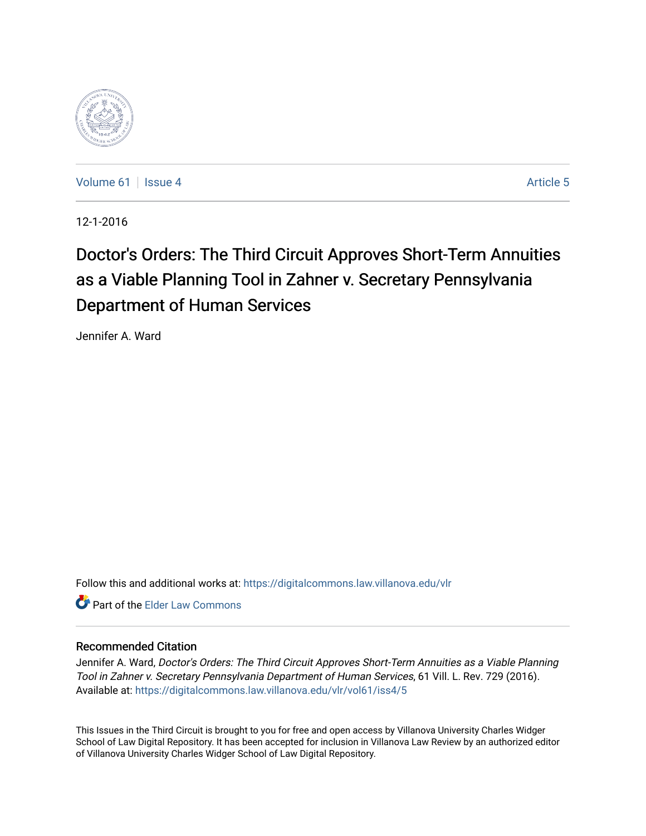

[Volume 61](https://digitalcommons.law.villanova.edu/vlr/vol61) | [Issue 4](https://digitalcommons.law.villanova.edu/vlr/vol61/iss4) Article 5

12-1-2016

# Doctor's Orders: The Third Circuit Approves Short-Term Annuities as a Viable Planning Tool in Zahner v. Secretary Pennsylvania Department of Human Services

Jennifer A. Ward

Follow this and additional works at: [https://digitalcommons.law.villanova.edu/vlr](https://digitalcommons.law.villanova.edu/vlr?utm_source=digitalcommons.law.villanova.edu%2Fvlr%2Fvol61%2Fiss4%2F5&utm_medium=PDF&utm_campaign=PDFCoverPages)

**C** Part of the Elder Law Commons

# Recommended Citation

Jennifer A. Ward, Doctor's Orders: The Third Circuit Approves Short-Term Annuities as a Viable Planning Tool in Zahner v. Secretary Pennsylvania Department of Human Services, 61 Vill. L. Rev. 729 (2016). Available at: [https://digitalcommons.law.villanova.edu/vlr/vol61/iss4/5](https://digitalcommons.law.villanova.edu/vlr/vol61/iss4/5?utm_source=digitalcommons.law.villanova.edu%2Fvlr%2Fvol61%2Fiss4%2F5&utm_medium=PDF&utm_campaign=PDFCoverPages) 

This Issues in the Third Circuit is brought to you for free and open access by Villanova University Charles Widger School of Law Digital Repository. It has been accepted for inclusion in Villanova Law Review by an authorized editor of Villanova University Charles Widger School of Law Digital Repository.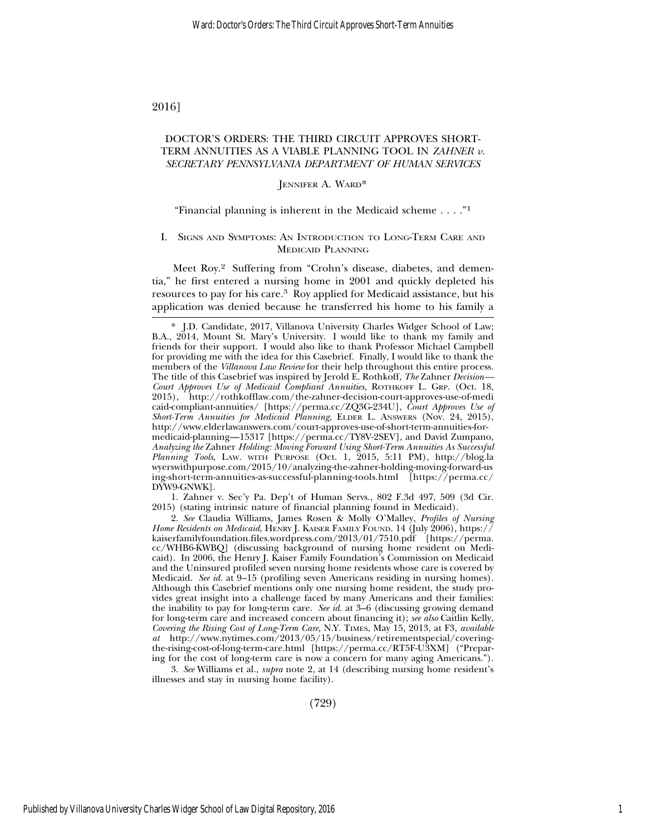2016]

### DOCTOR'S ORDERS: THE THIRD CIRCUIT APPROVES SHORT-TERM ANNUITIES AS A VIABLE PLANNING TOOL IN *ZAHNER v. SECRETARY PENNSYLVANIA DEPARTMENT OF HUMAN SERVICES*

#### JENNIFER A. WARD\*

#### "Financial planning is inherent in the Medicaid scheme . . . ."1

#### I. SIGNS AND SYMPTOMS: AN INTRODUCTION TO LONG-TERM CARE AND MEDICAID PLANNING

Meet Roy.2 Suffering from "Crohn's disease, diabetes, and dementia," he first entered a nursing home in 2001 and quickly depleted his resources to pay for his care.3 Roy applied for Medicaid assistance, but his application was denied because he transferred his home to his family a

1. Zahner v. Sec'y Pa. Dep't of Human Servs., 802 F.3d 497, 509 (3d Cir. 2015) (stating intrinsic nature of financial planning found in Medicaid).

2. *See* Claudia Williams, James Rosen & Molly O'Malley, *Profiles of Nursing Home Residents on Medicaid*, HENRY J. KAISER FAMILY FOUND. 14 (July 2006), https:// kaiserfamilyfoundation.files.wordpress.com/2013/01/7510.pdf [https://perma. cc/WHB6-KWBQ] (discussing background of nursing home resident on Medicaid). In 2006, the Henry J. Kaiser Family Foundation's Commission on Medicaid and the Uninsured profiled seven nursing home residents whose care is covered by Medicaid. *See id.* at 9–15 (profiling seven Americans residing in nursing homes). Although this Casebrief mentions only one nursing home resident, the study provides great insight into a challenge faced by many Americans and their families: the inability to pay for long-term care. *See id.* at 3–6 (discussing growing demand for long-term care and increased concern about financing it); *see also* Caitlin Kelly, *Covering the Rising Cost of Long-Term Care*, N.Y. TIMES, May 15, 2013, at F3, *available at* http://www.nytimes.com/2013/05/15/business/retirementspecial/coveringthe-rising-cost-of-long-term-care.html [https://perma.cc/RT5F-U3XM] ("Preparing for the cost of long-term care is now a concern for many aging Americans.").

3. *See* Williams et al., *supra* note 2, at 14 (describing nursing home resident's illnesses and stay in nursing home facility).

(729)

<sup>\*</sup> J.D. Candidate, 2017, Villanova University Charles Widger School of Law; B.A., 2014, Mount St. Mary's University. I would like to thank my family and friends for their support. I would also like to thank Professor Michael Campbell for providing me with the idea for this Casebrief. Finally, I would like to thank the members of the *Villanova Law Review* for their help throughout this entire process. The title of this Casebrief was inspired by Jerold E. Rothkoff, *The* Zahner *Decision— Court Approves Use of Medicaid Compliant Annuities*, ROTHKOFF L. GRP. (Oct. 18, 2015), http://rothkofflaw.com/the-zahner-decision-court-approves-use-of-medi caid-compliant-annuities/ [https://perma.cc/ZQ3G-234U], *Court Approves Use of Short-Term Annuities for Medicaid Planning*, ELDER L. ANSWERS (Nov. 24, 2015), http://www.elderlawanswers.com/court-approves-use-of-short-term-annuities-formedicaid-planning—15317 [https://perma.cc/TY8V-2SEV], and David Zumpano, *Analyzing the* Zahner *Holding: Moving Forward Using Short-Term Annuities As Successful Planning Tools*, LAW. WITH PURPOSE (Oct. 1, 2015, 5:11 PM), http://blog.la wyerswithpurpose.com/2015/10/analyzing-the-zahner-holding-moving-forward-us ing-short-term-annuities-as-successful-planning-tools.html [https://perma.cc/ DYW9-GNWK].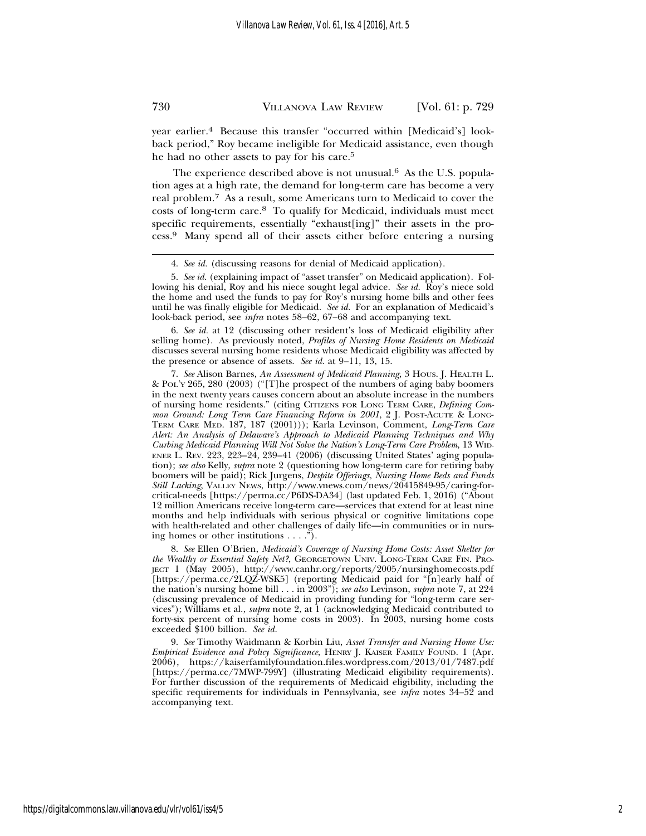year earlier.4 Because this transfer "occurred within [Medicaid's] lookback period," Roy became ineligible for Medicaid assistance, even though he had no other assets to pay for his care.5

The experience described above is not unusual.<sup>6</sup> As the U.S. population ages at a high rate, the demand for long-term care has become a very real problem.7 As a result, some Americans turn to Medicaid to cover the costs of long-term care.8 To qualify for Medicaid, individuals must meet specific requirements, essentially "exhaust[ing]" their assets in the process.9 Many spend all of their assets either before entering a nursing

6. *See id.* at 12 (discussing other resident's loss of Medicaid eligibility after selling home). As previously noted, *Profiles of Nursing Home Residents on Medicaid* discusses several nursing home residents whose Medicaid eligibility was affected by the presence or absence of assets. *See id.* at 9–11, 13, 15.

7. *See* Alison Barnes, *An Assessment of Medicaid Planning*, 3 HOUS. J. HEALTH L. & POL'Y 265, 280 (2003) ("[T]he prospect of the numbers of aging baby boomers in the next twenty years causes concern about an absolute increase in the numbers of nursing home residents." (citing CITIZENS FOR LONG TERM CARE, *Defining Common Ground: Long Term Care Financing Reform in 2001*, 2 J. POST-ACUTE & LONG-TERM CARE MED. 187, 187 (2001))); Karla Levinson, Comment, *Long-Term Care Alert: An Analysis of Delaware's Approach to Medicaid Planning Techniques and Why Curbing Medicaid Planning Will Not Solve the Nation's Long-Term Care Problem*, 13 WID-ENER L. REV. 223, 223–24, 239–41 (2006) (discussing United States' aging population); *see also* Kelly, *supra* note 2 (questioning how long-term care for retiring baby boomers will be paid); Rick Jurgens, *Despite Offerings, Nursing Home Beds and Funds Still Lacking*, VALLEY NEWS, http://www.vnews.com/news/20415849-95/caring-forcritical-needs [https://perma.cc/P6DS-DA34] (last updated Feb. 1, 2016) ("About 12 million Americans receive long-term care—services that extend for at least nine months and help individuals with serious physical or cognitive limitations cope with health-related and other challenges of daily life—in communities or in nursing homes or other institutions . . . .").

8. *See* Ellen O'Brien, *Medicaid's Coverage of Nursing Home Costs: Asset Shelter for the Wealthy or Essential Safety Net?*, GEORGETOWN UNIV. LONG-TERM CARE FIN. PRO-JECT 1 (May 2005), http://www.canhr.org/reports/2005/nursinghomecosts.pdf [https://perma.cc/2LQZ-WSK5] (reporting Medicaid paid for "[n]early half of the nation's nursing home bill . . . in 2003"); *see also* Levinson, *supra* note 7, at 224 (discussing prevalence of Medicaid in providing funding for "long-term care services"); Williams et al., *supra* note 2, at 1 (acknowledging Medicaid contributed to forty-six percent of nursing home costs in 2003). In 2003, nursing home costs exceeded \$100 billion. *See id.*

9. *See* Timothy Waidmann & Korbin Liu, *Asset Transfer and Nursing Home Use: Empirical Evidence and Policy Significance*, HENRY J. KAISER FAMILY FOUND. 1 (Apr. 2006), https://kaiserfamilyfoundation.files.wordpress.com/2013/01/7487.pdf [https://perma.cc/7MWP-799Y] (illustrating Medicaid eligibility requirements). For further discussion of the requirements of Medicaid eligibility, including the specific requirements for individuals in Pennsylvania, see *infra* notes 34–52 and accompanying text.

<sup>4.</sup> *See id.* (discussing reasons for denial of Medicaid application).

<sup>5.</sup> *See id.* (explaining impact of "asset transfer" on Medicaid application). Following his denial, Roy and his niece sought legal advice. *See id.* Roy's niece sold the home and used the funds to pay for Roy's nursing home bills and other fees until he was finally eligible for Medicaid. *See id.* For an explanation of Medicaid's look-back period, see *infra* notes 58–62, 67–68 and accompanying text.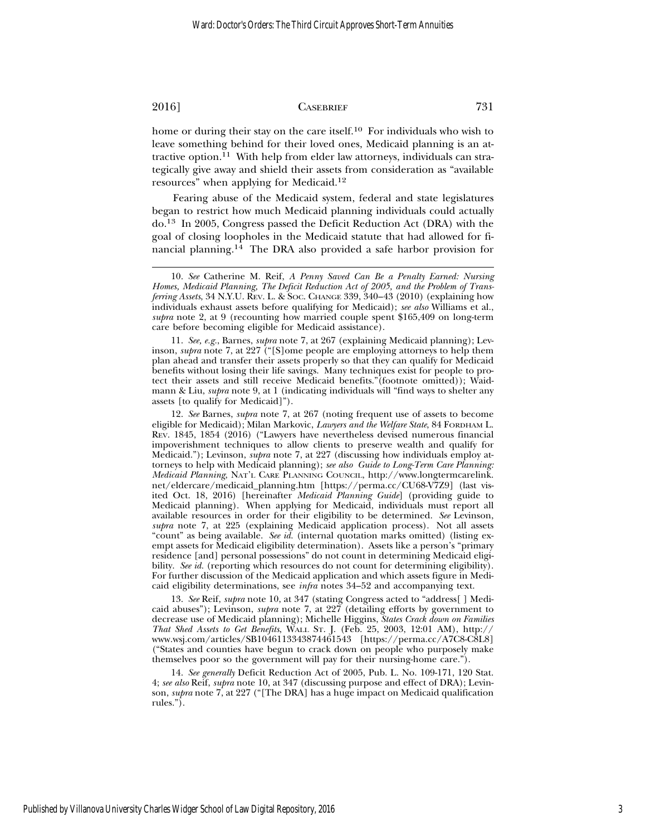home or during their stay on the care itself.<sup>10</sup> For individuals who wish to leave something behind for their loved ones, Medicaid planning is an attractive option.11 With help from elder law attorneys, individuals can strategically give away and shield their assets from consideration as "available resources" when applying for Medicaid.12

Fearing abuse of the Medicaid system, federal and state legislatures began to restrict how much Medicaid planning individuals could actually do.13 In 2005, Congress passed the Deficit Reduction Act (DRA) with the goal of closing loopholes in the Medicaid statute that had allowed for financial planning.14 The DRA also provided a safe harbor provision for

11. *See, e.g.*, Barnes, *supra* note 7, at 267 (explaining Medicaid planning); Levinson, *supra* note 7, at 227 ("[S]ome people are employing attorneys to help them plan ahead and transfer their assets properly so that they can qualify for Medicaid benefits without losing their life savings. Many techniques exist for people to protect their assets and still receive Medicaid benefits."(footnote omitted)); Waidmann & Liu, *supra* note 9, at 1 (indicating individuals will "find ways to shelter any assets [to qualify for Medicaid]").

12. *See* Barnes, *supra* note 7, at 267 (noting frequent use of assets to become eligible for Medicaid); Milan Markovic, *Lawyers and the Welfare State*, 84 FORDHAM L. REV. 1845, 1854 (2016) ("Lawyers have nevertheless devised numerous financial impoverishment techniques to allow clients to preserve wealth and qualify for Medicaid."); Levinson, *supra* note 7, at 227 (discussing how individuals employ attorneys to help with Medicaid planning); *see also Guide to Long-Term Care Planning: Medicaid Planning*, NAT'L CARE PLANNING COUNCIL, http://www.longtermcarelink. net/eldercare/medicaid\_planning.htm [https://perma.cc/CU68-V7Z9] (last visited Oct. 18, 2016) [hereinafter *Medicaid Planning Guide*] (providing guide to Medicaid planning). When applying for Medicaid, individuals must report all available resources in order for their eligibility to be determined. *See* Levinson, *supra* note 7, at 225 (explaining Medicaid application process). Not all assets "count" as being available. *See id.* (internal quotation marks omitted) (listing exempt assets for Medicaid eligibility determination). Assets like a person's "primary residence [and] personal possessions" do not count in determining Medicaid eligibility. *See id.* (reporting which resources do not count for determining eligibility). For further discussion of the Medicaid application and which assets figure in Medicaid eligibility determinations, see *infra* notes 34–52 and accompanying text.

13. *See* Reif, *supra* note 10, at 347 (stating Congress acted to "address[ ] Medicaid abuses"); Levinson, *supra* note 7, at 227 (detailing efforts by government to decrease use of Medicaid planning); Michelle Higgins, *States Crack down on Families That Shed Assets to Get Benefits*, WALL ST. J. (Feb. 25, 2003, 12:01 AM), http:// www.wsj.com/articles/SB1046113343874461543 [https://perma.cc/A7C8-C8L8] ("States and counties have begun to crack down on people who purposely make themselves poor so the government will pay for their nursing-home care.").

14. *See generally* Deficit Reduction Act of 2005, Pub. L. No. 109-171, 120 Stat. 4; *see also* Reif, *supra* note 10, at 347 (discussing purpose and effect of DRA); Levinson, *supra* note 7, at 227 ("[The DRA] has a huge impact on Medicaid qualification rules.").

<sup>10.</sup> *See* Catherine M. Reif, *A Penny Saved Can Be a Penalty Earned: Nursing Homes, Medicaid Planning, The Deficit Reduction Act of 2005, and the Problem of Transferring Assets*, 34 N.Y.U. REV. L. & SOC. CHANGE 339, 340–43 (2010) (explaining how individuals exhaust assets before qualifying for Medicaid); *see also* Williams et al., *supra* note 2, at 9 (recounting how married couple spent \$165,409 on long-term care before becoming eligible for Medicaid assistance).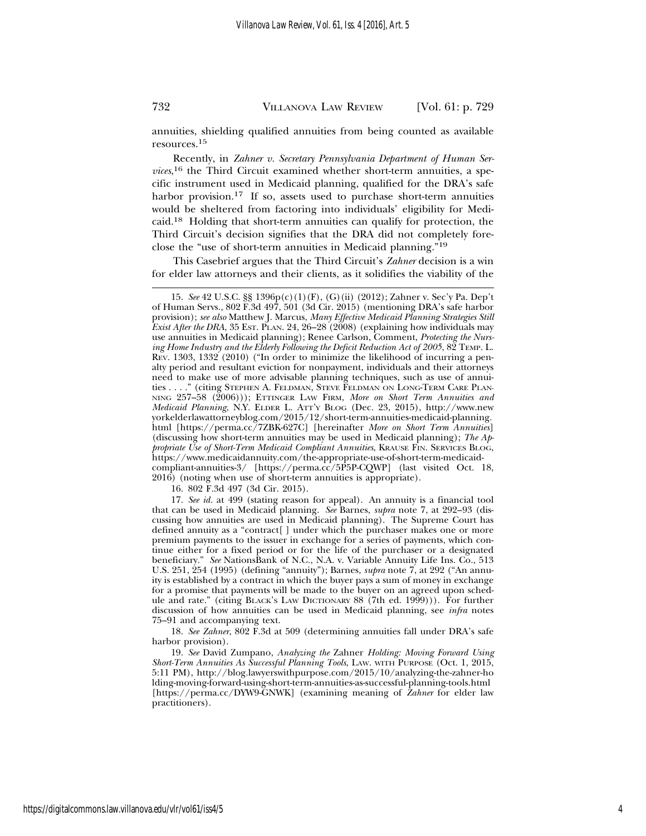annuities, shielding qualified annuities from being counted as available resources.<sup>15</sup>

Recently, in *Zahner v. Secretary Pennsylvania Department of Human Services*, 16 the Third Circuit examined whether short-term annuities, a specific instrument used in Medicaid planning, qualified for the DRA's safe harbor provision.<sup>17</sup> If so, assets used to purchase short-term annuities would be sheltered from factoring into individuals' eligibility for Medicaid.18 Holding that short-term annuities can qualify for protection, the Third Circuit's decision signifies that the DRA did not completely foreclose the "use of short-term annuities in Medicaid planning."19

This Casebrief argues that the Third Circuit's *Zahner* decision is a win for elder law attorneys and their clients, as it solidifies the viability of the

16. 802 F.3d 497 (3d Cir. 2015).

17. *See id.* at 499 (stating reason for appeal). An annuity is a financial tool that can be used in Medicaid planning. *See* Barnes, *supra* note 7, at 292–93 (discussing how annuities are used in Medicaid planning). The Supreme Court has defined annuity as a "contract[ ] under which the purchaser makes one or more premium payments to the issuer in exchange for a series of payments, which continue either for a fixed period or for the life of the purchaser or a designated beneficiary." *See* NationsBank of N.C., N.A. v. Variable Annuity Life Ins. Co., 513 U.S. 251, 254 (1995) (defining "annuity"); Barnes, *supra* note 7, at 292 ("An annuity is established by a contract in which the buyer pays a sum of money in exchange for a promise that payments will be made to the buyer on an agreed upon schedule and rate." (citing BLACK'S LAW DICTIONARY 88 (7th ed. 1999))). For further discussion of how annuities can be used in Medicaid planning, see *infra* notes 75–91 and accompanying text.

18. *See Zahner*, 802 F.3d at 509 (determining annuities fall under DRA's safe harbor provision).

19. *See* David Zumpano, *Analyzing the* Zahner *Holding: Moving Forward Using Short-Term Annuities As Successful Planning Tools*, LAW. WITH PURPOSE (Oct. 1, 2015, 5:11 PM), http://blog.lawyerswithpurpose.com/2015/10/analyzing-the-zahner-ho lding-moving-forward-using-short-term-annuities-as-successful-planning-tools.html [https://perma.cc/DYW9-GNWK] (examining meaning of *Zahner* for elder law practitioners).

<sup>15.</sup> *See* 42 U.S.C. §§ 1396p(c)(1)(F), (G)(ii) (2012); Zahner v. Sec'y Pa. Dep't of Human Servs., 802 F.3d 497, 501 (3d Cir. 2015) (mentioning DRA's safe harbor provision); *see also* Matthew J. Marcus, *Many Effective Medicaid Planning Strategies Still Exist After the DRA*, 35 Est. PLAN. 24, 26–28 (2008) (explaining how individuals may use annuities in Medicaid planning); Renee Carlson, Comment, *Protecting the Nursing Home Industry and the Elderly Following the Deficit Reduction Act of 2005*, 82 TEMP. L. REV. 1303, 1332 (2010) ("In order to minimize the likelihood of incurring a penalty period and resultant eviction for nonpayment, individuals and their attorneys need to make use of more advisable planning techniques, such as use of annuities . . . ." (citing STEPHEN A. FELDMAN, STEVE FELDMAN ON LONG-TERM CARE PLAN-NING 257–58 (2006))); ETTINGER LAW FIRM, *More on Short Term Annuities and Medicaid Planning*, N.Y. ELDER L. ATT'Y BLOG (Dec. 23, 2015), http://www.new yorkelderlawattorneyblog.com/2015/12/short-term-annuities-medicaid-planning. html [https://perma.cc/7ZBK-627C] [hereinafter *More on Short Term Annuities*] (discussing how short-term annuities may be used in Medicaid planning); *The Appropriate Use of Short-Term Medicaid Compliant Annuities*, KRAUSE FIN. SERVICES BLOG, https://www.medicaidannuity.com/the-appropriate-use-of-short-term-medicaidcompliant-annuities-3/ [https://perma.cc/5P5P-CQWP] (last visited Oct. 18, 2016) (noting when use of short-term annuities is appropriate).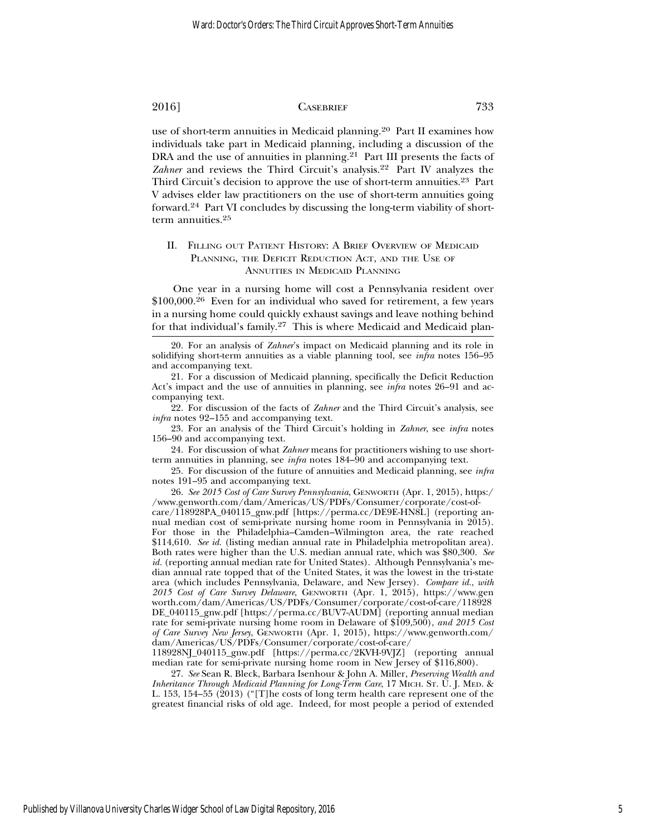use of short-term annuities in Medicaid planning.<sup>20</sup> Part II examines how individuals take part in Medicaid planning, including a discussion of the DRA and the use of annuities in planning.<sup>21</sup> Part III presents the facts of Zahner and reviews the Third Circuit's analysis.<sup>22</sup> Part IV analyzes the Third Circuit's decision to approve the use of short-term annuities.<sup>23</sup> Part V advises elder law practitioners on the use of short-term annuities going forward.24 Part VI concludes by discussing the long-term viability of shortterm annuities.<sup>25</sup>

### II. FILLING OUT PATIENT HISTORY: A BRIEF OVERVIEW OF MEDICAID PLANNING, THE DEFICIT REDUCTION ACT, AND THE USE OF ANNUITIES IN MEDICAID PLANNING

One year in a nursing home will cost a Pennsylvania resident over \$100,000.26 Even for an individual who saved for retirement, a few years in a nursing home could quickly exhaust savings and leave nothing behind for that individual's family.27 This is where Medicaid and Medicaid plan-

22. For discussion of the facts of *Zahner* and the Third Circuit's analysis, see *infra* notes 92–155 and accompanying text.

23. For an analysis of the Third Circuit's holding in *Zahner*, see *infra* notes 156–90 and accompanying text.

24. For discussion of what *Zahner* means for practitioners wishing to use shortterm annuities in planning, see *infra* notes 184–90 and accompanying text.

25. For discussion of the future of annuities and Medicaid planning, see *infra* notes 191–95 and accompanying text.

26. *See 2015 Cost of Care Survey Pennsylvania*, GENWORTH (Apr. 1, 2015), https:/ /www.genworth.com/dam/Americas/US/PDFs/Consumer/corporate/cost-of-

care/118928PA\_040115\_gnw.pdf [https://perma.cc/DE9E-HN8L] (reporting annual median cost of semi-private nursing home room in Pennsylvania in 2015). For those in the Philadelphia–Camden–Wilmington area, the rate reached \$114,610. *See id.* (listing median annual rate in Philadelphia metropolitan area). Both rates were higher than the U.S. median annual rate, which was \$80,300. *See id.* (reporting annual median rate for United States). Although Pennsylvania's median annual rate topped that of the United States, it was the lowest in the tri-state area (which includes Pennsylvania, Delaware, and New Jersey). *Compare id.*, *with 2015 Cost of Care Survey Delaware*, GENWORTH (Apr. 1, 2015), https://www.gen worth.com/dam/Americas/US/PDFs/Consumer/corporate/cost-of-care/118928 DE\_040115\_gnw.pdf [https://perma.cc/BUV7-AUDM] (reporting annual median rate for semi-private nursing home room in Delaware of \$109,500), *and 2015 Cost of Care Survey New Jersey*, GENWORTH (Apr. 1, 2015), https://www.genworth.com/ dam/Americas/US/PDFs/Consumer/corporate/cost-of-care/

118928NJ\_040115\_gnw.pdf [https://perma.cc/2KVH-9VJZ] (reporting annual median rate for semi-private nursing home room in New Jersey of \$116,800).

27. *See* Sean R. Bleck, Barbara Isenhour & John A. Miller, *Preserving Wealth and Inheritance Through Medicaid Planning for Long-Term Care*, 17 MICH. ST. U. J. MED. & L. 153, 154–55 (2013) ("[T]he costs of long term health care represent one of the greatest financial risks of old age. Indeed, for most people a period of extended

<sup>20.</sup> For an analysis of *Zahner*'s impact on Medicaid planning and its role in solidifying short-term annuities as a viable planning tool, see *infra* notes 156–95 and accompanying text.

<sup>21.</sup> For a discussion of Medicaid planning, specifically the Deficit Reduction Act's impact and the use of annuities in planning, see *infra* notes 26–91 and accompanying text.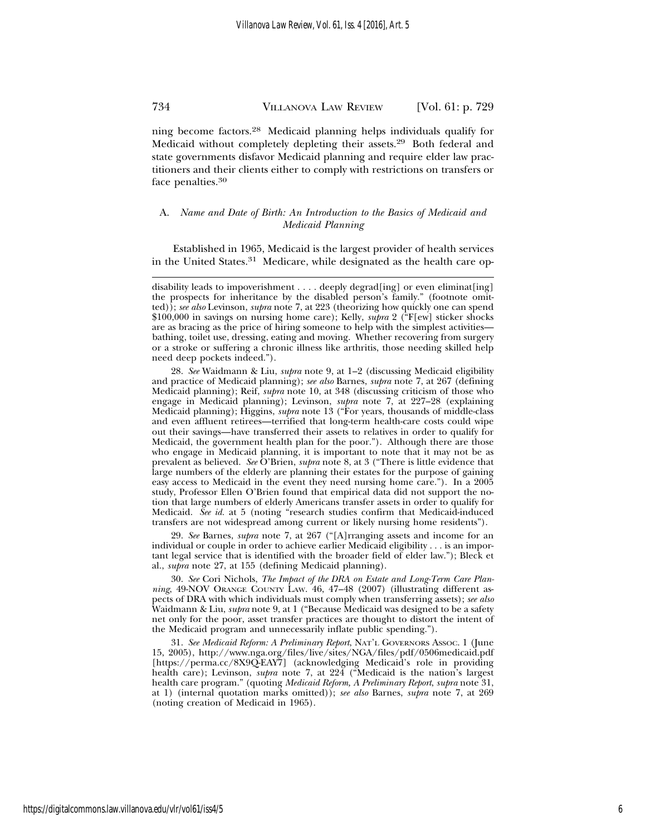ning become factors.28 Medicaid planning helps individuals qualify for Medicaid without completely depleting their assets.29 Both federal and state governments disfavor Medicaid planning and require elder law practitioners and their clients either to comply with restrictions on transfers or face penalties.30

A. *Name and Date of Birth: An Introduction to the Basics of Medicaid and Medicaid Planning*

Established in 1965, Medicaid is the largest provider of health services in the United States.<sup>31</sup> Medicare, while designated as the health care op-

29. *See* Barnes, *supra* note 7, at 267 ("[A]rranging assets and income for an individual or couple in order to achieve earlier Medicaid eligibility . . . is an important legal service that is identified with the broader field of elder law."); Bleck et al., *supra* note 27, at 155 (defining Medicaid planning).

30. *See* Cori Nichols, *The Impact of the DRA on Estate and Long-Term Care Planning*, 49-NOV ORANGE COUNTY LAW. 46, 47–48 (2007) (illustrating different aspects of DRA with which individuals must comply when transferring assets); *see also* Waidmann & Liu, *supra* note 9, at 1 ("Because Medicaid was designed to be a safety net only for the poor, asset transfer practices are thought to distort the intent of the Medicaid program and unnecessarily inflate public spending.").

31. *See Medicaid Reform: A Preliminary Report*, NAT'L GOVERNORS ASSOC. 1 (June 15, 2005), http://www.nga.org/files/live/sites/NGA/files/pdf/0506medicaid.pdf [https://perma.cc/8X9Q-EAY7] (acknowledging Medicaid's role in providing health care); Levinson, *supra* note 7, at 224 ("Medicaid is the nation's largest health care program." (quoting *Medicaid Reform, A Preliminary Report*, *supra* note 31, at 1) (internal quotation marks omitted)); *see also* Barnes, *supra* note 7, at 269 (noting creation of Medicaid in 1965).

disability leads to impoverishment . . . . deeply degrad [ing] or even eliminat [ing] the prospects for inheritance by the disabled person's family." (footnote omitted)); *see also* Levinson, *supra* note 7, at 223 (theorizing how quickly one can spend \$100,000 in savings on nursing home care); Kelly, *supra* 2 ("F[ew] sticker shocks are as bracing as the price of hiring someone to help with the simplest activities bathing, toilet use, dressing, eating and moving. Whether recovering from surgery or a stroke or suffering a chronic illness like arthritis, those needing skilled help need deep pockets indeed.").

<sup>28.</sup> *See* Waidmann & Liu, *supra* note 9, at 1–2 (discussing Medicaid eligibility and practice of Medicaid planning); *see also* Barnes, *supra* note 7, at 267 (defining Medicaid planning); Reif, *supra* note 10, at 348 (discussing criticism of those who engage in Medicaid planning); Levinson, *supra* note 7, at 227–28 (explaining Medicaid planning); Higgins, *supra* note 13 ("For years, thousands of middle-class and even affluent retirees—terrified that long-term health-care costs could wipe out their savings—have transferred their assets to relatives in order to qualify for Medicaid, the government health plan for the poor."). Although there are those who engage in Medicaid planning, it is important to note that it may not be as prevalent as believed. *See* O'Brien, *supra* note 8, at 3 ("There is little evidence that large numbers of the elderly are planning their estates for the purpose of gaining easy access to Medicaid in the event they need nursing home care."). In a 2005 study, Professor Ellen O'Brien found that empirical data did not support the notion that large numbers of elderly Americans transfer assets in order to qualify for Medicaid. *See id.* at 5 (noting "research studies confirm that Medicaid-induced transfers are not widespread among current or likely nursing home residents").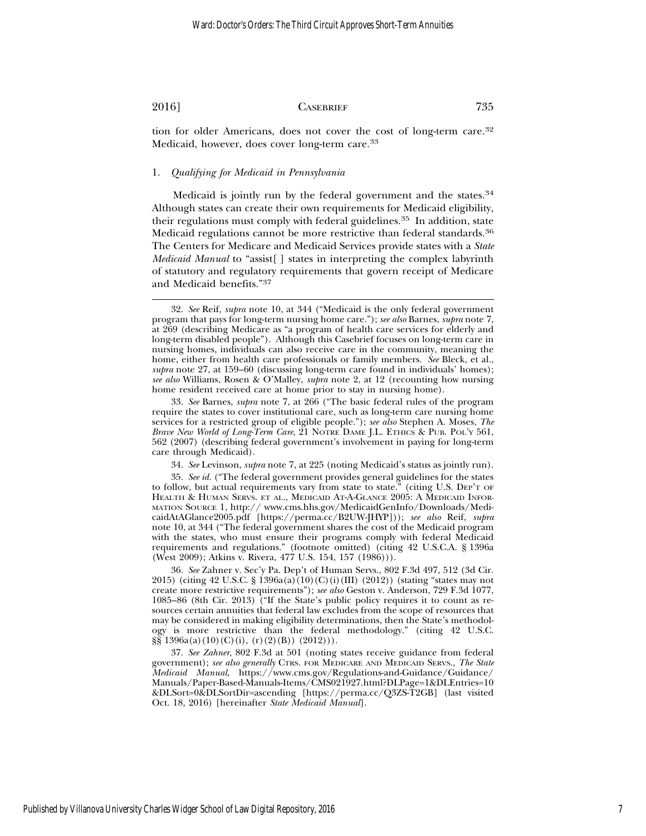tion for older Americans, does not cover the cost of long-term care.32 Medicaid, however, does cover long-term care.33

#### 1. *Qualifying for Medicaid in Pennsylvania*

Medicaid is jointly run by the federal government and the states.<sup>34</sup> Although states can create their own requirements for Medicaid eligibility, their regulations must comply with federal guidelines.<sup>35</sup> In addition, state Medicaid regulations cannot be more restrictive than federal standards.36 The Centers for Medicare and Medicaid Services provide states with a *State Medicaid Manual* to "assist[ ] states in interpreting the complex labyrinth of statutory and regulatory requirements that govern receipt of Medicare and Medicaid benefits."37

<sup>32.</sup> *See* Reif, *supra* note 10, at 344 ("Medicaid is the only federal government program that pays for long-term nursing home care."); *see also* Barnes, *supra* note 7, at 269 (describing Medicare as "a program of health care services for elderly and long-term disabled people"). Although this Casebrief focuses on long-term care in nursing homes, individuals can also receive care in the community, meaning the home, either from health care professionals or family members. *See* Bleck, et al., *supra* note 27, at 159–60 (discussing long-term care found in individuals' homes); *see also* Williams, Rosen & O'Malley, *supra* note 2, at 12 (recounting how nursing home resident received care at home prior to stay in nursing home).

<sup>33.</sup> *See* Barnes, *supra* note 7, at 266 ("The basic federal rules of the program require the states to cover institutional care, such as long-term care nursing home services for a restricted group of eligible people."); *see also* Stephen A. Moses, *The Brave New World of Long-Term Care*, 21 NOTRE DAME J.L. ETHICS & PUB. POL'Y 561, 562 (2007) (describing federal government's involvement in paying for long-term care through Medicaid).

<sup>34.</sup> *See* Levinson, *supra* note 7, at 225 (noting Medicaid's status as jointly run).

<sup>35.</sup> *See id.* ("The federal government provides general guidelines for the states to follow, but actual requirements vary from state to state." (citing U.S. DEP'T OF HEALTH & HUMAN SERVS. ET AL., MEDICAID AT-A-GLANCE 2005: A MEDICAID INFOR-MATION SOURCE 1, http:// www.cms.hhs.gov/MedicaidGenInfo/Downloads/MedicaidAtAGlance2005.pdf [https://perma.cc/B2UW-JHYP])); *see also* Reif, *supra* note 10, at 344 ("The federal government shares the cost of the Medicaid program with the states, who must ensure their programs comply with federal Medicaid requirements and regulations." (footnote omitted) (citing 42 U.S.C.A. § 1396a (West 2009); Atkins v. Rivera, 477 U.S. 154, 157 (1986))).

<sup>36.</sup> *See* Zahner v. Sec'y Pa. Dep't of Human Servs., 802 F.3d 497, 512 (3d Cir. 2015) (citing 42 U.S.C. § 1396a(a)(10)(C)(i)(III) (2012)) (stating "states may not create more restrictive requirements"); *see also* Geston v. Anderson, 729 F.3d 1077, 1085–86 (8th Cir. 2013) ("If the State's public policy requires it to count as resources certain annuities that federal law excludes from the scope of resources that may be considered in making eligibility determinations, then the State's methodology is more restrictive than the federal methodology." (citing 42 U.S.C.  $\S\S 1396a(a)(10)(C)(i), (r)(2)(B)) (2012))$ .

<sup>37.</sup> *See Zahner*, 802 F.3d at 501 (noting states receive guidance from federal government); *see also generally* CTRS. FOR MEDICARE AND MEDICAID SERVS., *The State Medicaid Manual*, https://www.cms.gov/Regulations-and-Guidance/Guidance/ Manuals/Paper-Based-Manuals-Items/CMS021927.html?DLPage=1&DLEntries=10 &DLSort=0&DLSortDir=ascending [https://perma.cc/Q3ZS-T2GB] (last visited Oct. 18, 2016) [hereinafter *State Medicaid Manual*].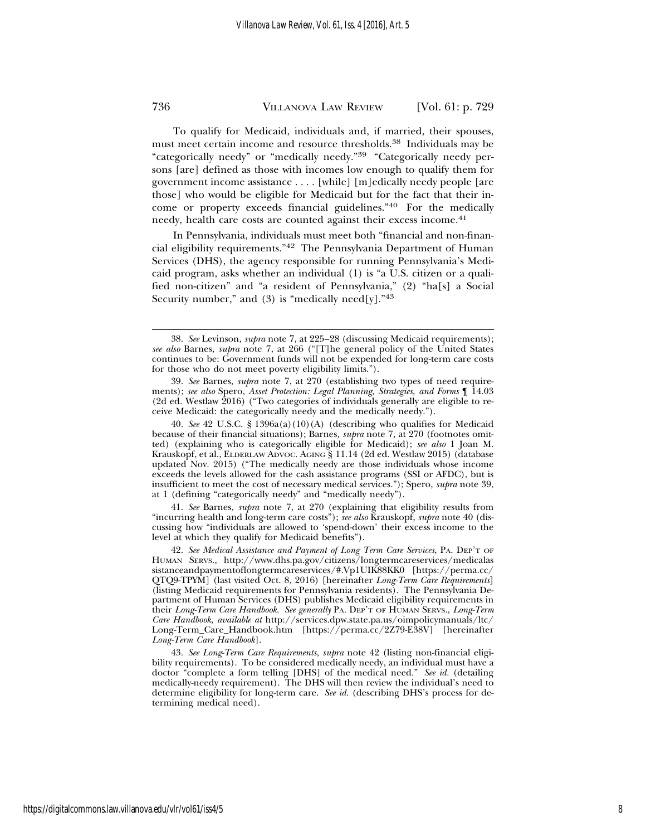To qualify for Medicaid, individuals and, if married, their spouses, must meet certain income and resource thresholds.38 Individuals may be "categorically needy" or "medically needy."39 "Categorically needy persons [are] defined as those with incomes low enough to qualify them for government income assistance . . . . [while] [m]edically needy people [are those] who would be eligible for Medicaid but for the fact that their income or property exceeds financial guidelines."40 For the medically needy, health care costs are counted against their excess income.<sup>41</sup>

In Pennsylvania, individuals must meet both "financial and non-financial eligibility requirements."42 The Pennsylvania Department of Human Services (DHS), the agency responsible for running Pennsylvania's Medicaid program, asks whether an individual (1) is "a U.S. citizen or a qualified non-citizen" and "a resident of Pennsylvania," (2) "ha[s] a Social Security number," and  $(3)$  is "medically need[y]."<sup>43</sup>

40. *See* 42 U.S.C. § 1396a(a)(10)(A) (describing who qualifies for Medicaid because of their financial situations); Barnes*, supra* note 7, at 270 (footnotes omitted) (explaining who is categorically eligible for Medicaid); *see also* 1 Joan M. Krauskopf, et al., ELDERLAW ADVOC. AGING § 11.14 (2d ed. Westlaw 2015) (database updated Nov. 2015) ("The medically needy are those individuals whose income exceeds the levels allowed for the cash assistance programs (SSI or AFDC), but is insufficient to meet the cost of necessary medical services."); Spero, *supra* note 39, at 1 (defining "categorically needy" and "medically needy").

41. *See* Barnes*, supra* note 7, at 270 (explaining that eligibility results from "incurring health and long-term care costs"); *see also* Krauskopf, *supra* note 40 (discussing how "individuals are allowed to 'spend-down' their excess income to the level at which they qualify for Medicaid benefits").

42. *See Medical Assistance and Payment of Long Term Care Services*, PA. DEP'T OF HUMAN SERVS., http://www.dhs.pa.gov/citizens/longtermcareservices/medicalas sistanceandpaymentoflongtermcareservices/#.Vp1UIK88KK0 [https://perma.cc/ QTQ9-TPYM] (last visited Oct. 8, 2016) [hereinafter *Long-Term Care Requirements*] (listing Medicaid requirements for Pennsylvania residents). The Pennsylvania Department of Human Services (DHS) publishes Medicaid eligibility requirements in their *Long-Term Care Handbook*. *See generally* PA. DEP'T OF HUMAN SERVS., *Long-Term Care Handbook*, *available at* http://services.dpw.state.pa.us/oimpolicymanuals/ltc/ Long-Term\_Care\_Handbook.htm [https://perma.cc/2Z79-E38V] [hereinafter *Long-Term Care Handbook*].

43. *See Long-Term Care Requirements*, *supra* note 42 (listing non-financial eligibility requirements). To be considered medically needy, an individual must have a doctor "complete a form telling [DHS] of the medical need." *See id.* (detailing medically-needy requirement). The DHS will then review the individual's need to determine eligibility for long-term care. *See id.* (describing DHS's process for determining medical need).

<sup>38.</sup> *See* Levinson, *supra* note 7, at 225–28 (discussing Medicaid requirements); *see also* Barnes, *supra* note 7, at 266 ("[T]he general policy of the United States continues to be: Government funds will not be expended for long-term care costs for those who do not meet poverty eligibility limits.").

<sup>39.</sup> *See* Barnes, *supra* note 7, at 270 (establishing two types of need requirements); *see also* Spero, *Asset Protection: Legal Planning, Strategies, and Forms* ¶ 14.03 (2d ed. Westlaw 2016) ("Two categories of individuals generally are eligible to receive Medicaid: the categorically needy and the medically needy.").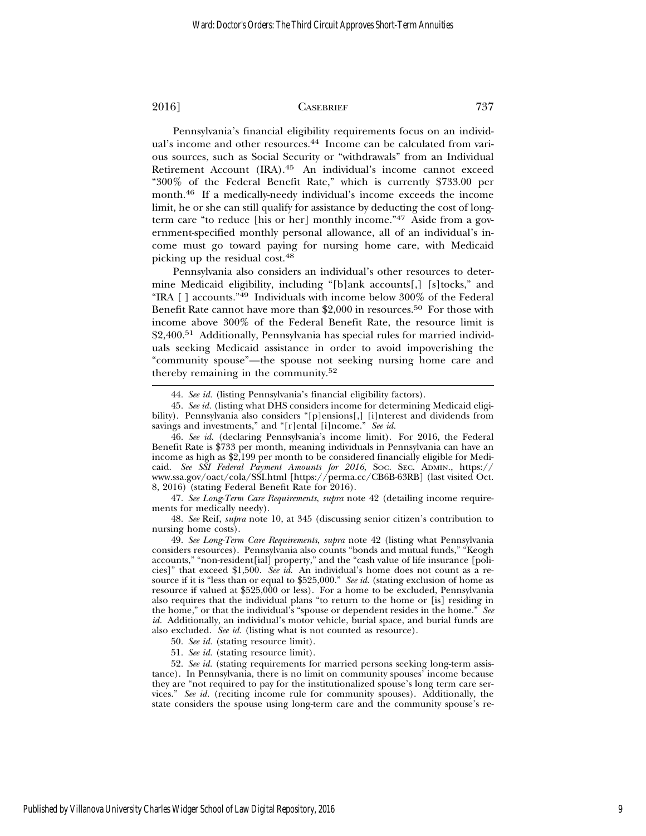Pennsylvania's financial eligibility requirements focus on an individual's income and other resources.<sup>44</sup> Income can be calculated from various sources, such as Social Security or "withdrawals" from an Individual Retirement Account (IRA).45 An individual's income cannot exceed "300% of the Federal Benefit Rate," which is currently \$733.00 per month.46 If a medically-needy individual's income exceeds the income limit, he or she can still qualify for assistance by deducting the cost of longterm care "to reduce [his or her] monthly income."47 Aside from a government-specified monthly personal allowance, all of an individual's income must go toward paying for nursing home care, with Medicaid picking up the residual cost.48

Pennsylvania also considers an individual's other resources to determine Medicaid eligibility, including "[b]ank accounts[,] [s]tocks," and "IRA  $\lceil$  ] accounts."<sup>49</sup> Individuals with income below 300% of the Federal Benefit Rate cannot have more than \$2,000 in resources.<sup>50</sup> For those with income above 300% of the Federal Benefit Rate, the resource limit is \$2,400.51 Additionally, Pennsylvania has special rules for married individuals seeking Medicaid assistance in order to avoid impoverishing the "community spouse"—the spouse not seeking nursing home care and thereby remaining in the community.<sup>52</sup>

47. *See Long-Term Care Requirements*, *supra* note 42 (detailing income requirements for medically needy).

48. *See* Reif, *supra* note 10, at 345 (discussing senior citizen's contribution to nursing home costs).

49. *See Long-Term Care Requirements*, *supra* note 42 (listing what Pennsylvania considers resources). Pennsylvania also counts "bonds and mutual funds," "Keogh accounts," "non-resident[ial] property," and the "cash value of life insurance [policies]" that exceed \$1,500. *See id.* An individual's home does not count as a resource if it is "less than or equal to \$525,000." *See id.* (stating exclusion of home as resource if valued at \$525,000 or less). For a home to be excluded, Pennsylvania also requires that the individual plans "to return to the home or [is] residing in the home," or that the individual's "spouse or dependent resides in the home." *See id.* Additionally, an individual's motor vehicle, burial space, and burial funds are also excluded. *See id.* (listing what is not counted as resource).

50. *See id.* (stating resource limit).

51. *See id.* (stating resource limit).

52. *See id.* (stating requirements for married persons seeking long-term assistance). In Pennsylvania, there is no limit on community spouses' income because they are "not required to pay for the institutionalized spouse's long term care services." *See id.* (reciting income rule for community spouses). Additionally, the state considers the spouse using long-term care and the community spouse's re-

<sup>44.</sup> *See id.* (listing Pennsylvania's financial eligibility factors).

<sup>45.</sup> *See id.* (listing what DHS considers income for determining Medicaid eligibility). Pennsylvania also considers "[p]ensions[,] [i]nterest and dividends from savings and investments," and "[r]ental [i]ncome." *See id.*

<sup>46.</sup> *See id.* (declaring Pennsylvania's income limit). For 2016, the Federal Benefit Rate is \$733 per month, meaning individuals in Pennsylvania can have an income as high as \$2,199 per month to be considered financially eligible for Medicaid. *See SSI Federal Payment Amounts for 2016*, SOC. SEC. ADMIN., https:// www.ssa.gov/oact/cola/SSI.html [https://perma.cc/CB6B-63RB] (last visited Oct. 8, 2016) (stating Federal Benefit Rate for 2016).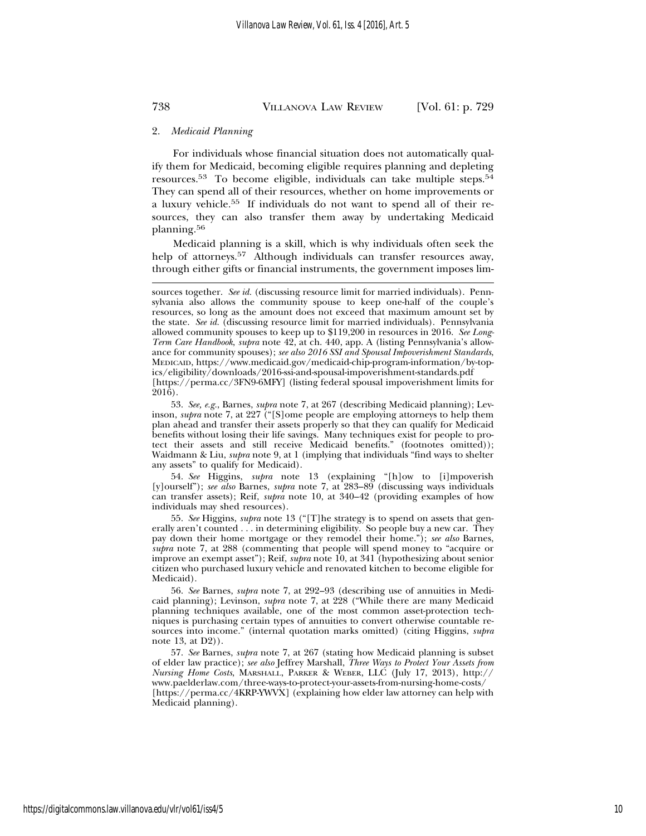#### 2. *Medicaid Planning*

For individuals whose financial situation does not automatically qualify them for Medicaid, becoming eligible requires planning and depleting resources.53 To become eligible, individuals can take multiple steps.54 They can spend all of their resources, whether on home improvements or a luxury vehicle.55 If individuals do not want to spend all of their resources, they can also transfer them away by undertaking Medicaid planning.<sup>56</sup>

Medicaid planning is a skill, which is why individuals often seek the help of attorneys.<sup>57</sup> Although individuals can transfer resources away, through either gifts or financial instruments, the government imposes lim-

54. *See* Higgins, *supra* note 13 (explaining "[h]ow to [i]mpoverish [y]ourself"); *see also* Barnes, *supra* note 7, at 283–89 (discussing ways individuals can transfer assets); Reif, *supra* note 10, at 340–42 (providing examples of how individuals may shed resources).

55. *See* Higgins, *supra* note 13 ("[T]he strategy is to spend on assets that generally aren't counted . . . in determining eligibility. So people buy a new car. They pay down their home mortgage or they remodel their home."); *see also* Barnes, *supra* note 7, at 288 (commenting that people will spend money to "acquire or improve an exempt asset"); Reif, *supra* note 10, at 341 (hypothesizing about senior citizen who purchased luxury vehicle and renovated kitchen to become eligible for Medicaid).

56. *See* Barnes, *supra* note 7, at 292–93 (describing use of annuities in Medicaid planning); Levinson, *supra* note 7, at 228 ("While there are many Medicaid planning techniques available, one of the most common asset-protection techniques is purchasing certain types of annuities to convert otherwise countable resources into income." (internal quotation marks omitted) (citing Higgins, *supra* note 13, at D2)).

57. *See* Barnes, *supra* note 7, at 267 (stating how Medicaid planning is subset of elder law practice); *see also* Jeffrey Marshall, *Three Ways to Protect Your Assets from Nursing Home Costs*, MARSHALL, PARKER & WEBER, LLC (July 17, 2013), http:// www.paelderlaw.com/three-ways-to-protect-your-assets-from-nursing-home-costs/ [https://perma.cc/4KRP-YWVX] (explaining how elder law attorney can help with Medicaid planning).

sources together. *See id.* (discussing resource limit for married individuals). Pennsylvania also allows the community spouse to keep one-half of the couple's resources, so long as the amount does not exceed that maximum amount set by the state. *See id.* (discussing resource limit for married individuals). Pennsylvania allowed community spouses to keep up to \$119,200 in resources in 2016. *See Long-Term Care Handbook*, *supra* note 42, at ch. 440, app. A (listing Pennsylvania's allowance for community spouses); *see also 2016 SSI and Spousal Impoverishment Standards*, MEDICAID, https://www.medicaid.gov/medicaid-chip-program-information/by-topics/eligibility/downloads/2016-ssi-and-spousal-impoverishment-standards.pdf [https://perma.cc/3FN9-6MFY] (listing federal spousal impoverishment limits for 2016).

<sup>53.</sup> *See, e.g.*, Barnes, *supra* note 7, at 267 (describing Medicaid planning); Levinson, *supra* note 7, at 227 ("[S]ome people are employing attorneys to help them plan ahead and transfer their assets properly so that they can qualify for Medicaid benefits without losing their life savings. Many techniques exist for people to protect their assets and still receive Medicaid benefits." (footnotes omitted)); Waidmann & Liu, *supra* note 9, at 1 (implying that individuals "find ways to shelter any assets" to qualify for Medicaid).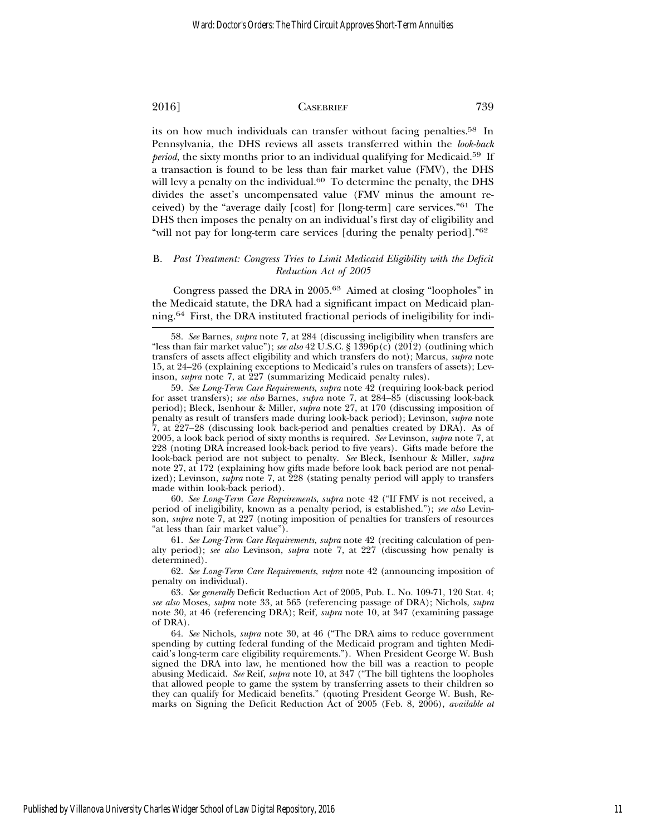its on how much individuals can transfer without facing penalties.58 In Pennsylvania, the DHS reviews all assets transferred within the *look-back period*, the sixty months prior to an individual qualifying for Medicaid.<sup>59</sup> If a transaction is found to be less than fair market value (FMV), the DHS will levy a penalty on the individual. $60$  To determine the penalty, the DHS divides the asset's uncompensated value (FMV minus the amount received) by the "average daily [cost] for [long-term] care services."61 The DHS then imposes the penalty on an individual's first day of eligibility and "will not pay for long-term care services [during the penalty period]."<sup>62</sup>

#### B. *Past Treatment: Congress Tries to Limit Medicaid Eligibility with the Deficit Reduction Act of 2005*

Congress passed the DRA in 2005.63 Aimed at closing "loopholes" in the Medicaid statute, the DRA had a significant impact on Medicaid planning.64 First, the DRA instituted fractional periods of ineligibility for indi-

60. *See Long-Term Care Requirements*, *supra* note 42 ("If FMV is not received, a period of ineligibility, known as a penalty period, is established."); *see also* Levinson, *supra* note 7, at 227 (noting imposition of penalties for transfers of resources "at less than fair market value").

61. *See Long-Term Care Requirements*, *supra* note 42 (reciting calculation of penalty period); *see also* Levinson, *supra* note 7, at 227 (discussing how penalty is determined).

62. *See Long-Term Care Requirements*, *supra* note 42 (announcing imposition of penalty on individual).

63. *See generally* Deficit Reduction Act of 2005, Pub. L. No. 109-71, 120 Stat. 4; *see also* Moses, *supra* note 33, at 565 (referencing passage of DRA); Nichols, *supra* note 30, at 46 (referencing DRA); Reif, *supra* note 10, at 347 (examining passage of DRA).

64. *See* Nichols, *supra* note 30, at 46 ("The DRA aims to reduce government spending by cutting federal funding of the Medicaid program and tighten Medicaid's long-term care eligibility requirements."). When President George W. Bush signed the DRA into law, he mentioned how the bill was a reaction to people abusing Medicaid. *See* Reif, *supra* note 10, at 347 ("The bill tightens the loopholes that allowed people to game the system by transferring assets to their children so they can qualify for Medicaid benefits." (quoting President George W. Bush, Remarks on Signing the Deficit Reduction Act of 2005 (Feb. 8, 2006), *available at*

<sup>58.</sup> *See* Barnes, *supra* note 7, at 284 (discussing ineligibility when transfers are "less than fair market value"); *see also* 42 U.S.C. § 1396p(c) (2012) (outlining which transfers of assets affect eligibility and which transfers do not); Marcus, *supra* note 15, at 24–26 (explaining exceptions to Medicaid's rules on transfers of assets); Levinson, *supra* note 7, at 227 (summarizing Medicaid penalty rules).

<sup>59.</sup> *See Long-Term Care Requirements*, *supra* note 42 (requiring look-back period for asset transfers); *see also* Barnes, *supra* note 7, at 284–85 (discussing look-back period); Bleck, Isenhour & Miller, *supra* note 27, at 170 (discussing imposition of penalty as result of transfers made during look-back period); Levinson, *supra* note 7, at 227–28 (discussing look back-period and penalties created by DRA). As of 2005, a look back period of sixty months is required. *See* Levinson, *supra* note 7, at 228 (noting DRA increased look-back period to five years). Gifts made before the look-back period are not subject to penalty. *See* Bleck, Isenhour & Miller, *supra* note 27, at 172 (explaining how gifts made before look back period are not penalized); Levinson, *supra* note 7, at 228 (stating penalty period will apply to transfers made within look-back period).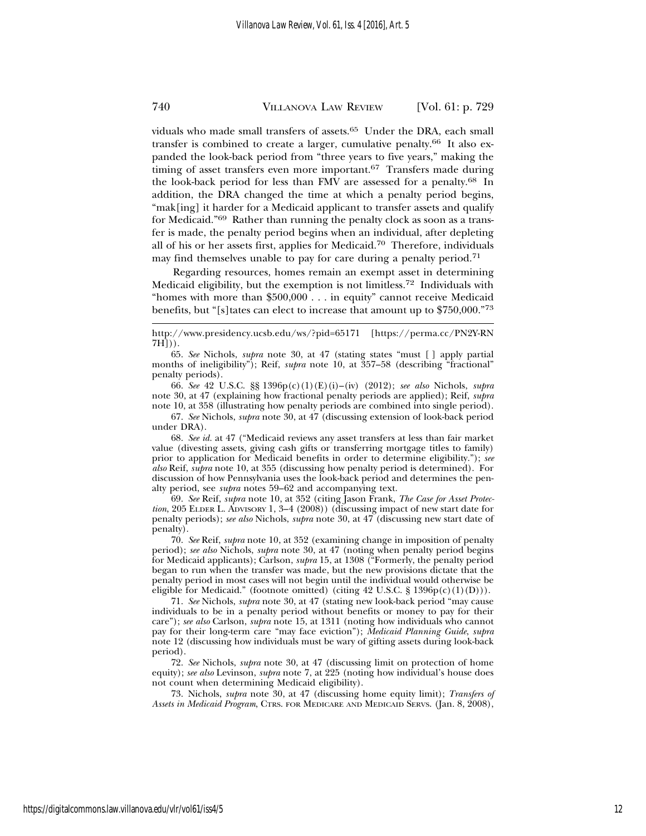viduals who made small transfers of assets.<sup>65</sup> Under the DRA, each small transfer is combined to create a larger, cumulative penalty.66 It also expanded the look-back period from "three years to five years," making the timing of asset transfers even more important.<sup>67</sup> Transfers made during the look-back period for less than FMV are assessed for a penalty.68 In addition, the DRA changed the time at which a penalty period begins, "mak[ing] it harder for a Medicaid applicant to transfer assets and qualify for Medicaid."69 Rather than running the penalty clock as soon as a transfer is made, the penalty period begins when an individual, after depleting all of his or her assets first, applies for Medicaid.70 Therefore, individuals may find themselves unable to pay for care during a penalty period.<sup>71</sup>

Regarding resources, homes remain an exempt asset in determining Medicaid eligibility, but the exemption is not limitless.72 Individuals with "homes with more than \$500,000 . . . in equity" cannot receive Medicaid benefits, but "[s]tates can elect to increase that amount up to \$750,000."73

68. *See id.* at 47 ("Medicaid reviews any asset transfers at less than fair market value (divesting assets, giving cash gifts or transferring mortgage titles to family) prior to application for Medicaid benefits in order to determine eligibility."); *see also* Reif, *supra* note 10, at 355 (discussing how penalty period is determined). For discussion of how Pennsylvania uses the look-back period and determines the penalty period, see *supra* notes 59–62 and accompanying text.

69. *See* Reif, *supra* note 10, at 352 (citing Jason Frank, *The Case for Asset Protection*, 205 ELDER L. ADVISORY 1, 3–4 (2008)) (discussing impact of new start date for penalty periods); *see also* Nichols, *supra* note 30, at 47 (discussing new start date of penalty).

70. *See* Reif, *supra* note 10, at 352 (examining change in imposition of penalty period); *see also* Nichols, *supra* note 30, at 47 (noting when penalty period begins for Medicaid applicants); Carlson, *supra* 15, at 1308 ("Formerly, the penalty period began to run when the transfer was made, but the new provisions dictate that the penalty period in most cases will not begin until the individual would otherwise be eligible for Medicaid." (footnote omitted) (citing  $42$  U.S.C. §  $1396p(c)(1)(D))$ ).

71. *See* Nichols, *supra* note 30, at 47 (stating new look-back period "may cause individuals to be in a penalty period without benefits or money to pay for their care"); *see also* Carlson, *supra* note 15, at 1311 (noting how individuals who cannot pay for their long-term care "may face eviction"); *Medicaid Planning Guide*, *supra* note 12 (discussing how individuals must be wary of gifting assets during look-back period).

72. *See* Nichols, *supra* note 30, at 47 (discussing limit on protection of home equity); *see also* Levinson, *supra* note 7, at 225 (noting how individual's house does not count when determining Medicaid eligibility).

73. Nichols, *supra* note 30, at 47 (discussing home equity limit); *Transfers of Assets in Medicaid Program*, CTRS. FOR MEDICARE AND MEDICAID SERVS. (Jan. 8, 2008),

http://www.presidency.ucsb.edu/ws/?pid=65171 [https://perma.cc/PN2Y-RN  $7H\hat{J}$ )).

<sup>65.</sup> *See* Nichols, *supra* note 30, at 47 (stating states "must [ ] apply partial months of ineligibility"); Reif, *supra* note 10, at 357–58 (describing "fractional" penalty periods).

<sup>66.</sup> *See* 42 U.S.C. §§ 1396p(c)(1)(E)(i)–(iv) (2012); *see also* Nichols, *supra* note 30, at 47 (explaining how fractional penalty periods are applied); Reif, *supra* note 10, at 358 (illustrating how penalty periods are combined into single period).

<sup>67.</sup> *See* Nichols, *supra* note 30, at 47 (discussing extension of look-back period under DRA).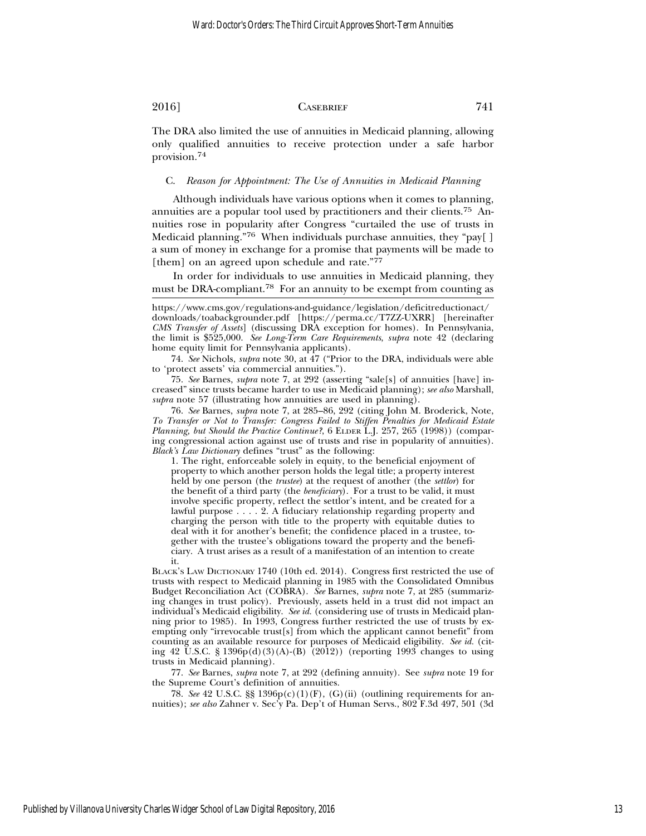The DRA also limited the use of annuities in Medicaid planning, allowing only qualified annuities to receive protection under a safe harbor provision.<sup>74</sup>

#### C. *Reason for Appointment: The Use of Annuities in Medicaid Planning*

Although individuals have various options when it comes to planning, annuities are a popular tool used by practitioners and their clients.75 Annuities rose in popularity after Congress "curtailed the use of trusts in Medicaid planning."76 When individuals purchase annuities, they "pay[ ] a sum of money in exchange for a promise that payments will be made to [them] on an agreed upon schedule and rate."77

In order for individuals to use annuities in Medicaid planning, they must be DRA-compliant.<sup>78</sup> For an annuity to be exempt from counting as

https://www.cms.gov/regulations-and-guidance/legislation/deficitreductionact/ downloads/toabackgrounder.pdf [https://perma.cc/T7ZZ-UXRR] [hereinafter *CMS Transfer of Assets*] (discussing DRA exception for homes). In Pennsylvania, the limit is \$525,000. *See Long-Term Care Requirements*, *supra* note 42 (declaring home equity limit for Pennsylvania applicants).

74. *See* Nichols, *supra* note 30, at 47 ("Prior to the DRA, individuals were able to 'protect assets' via commercial annuities.").

75. *See* Barnes, *supra* note 7, at 292 (asserting "sale[s] of annuities [have] increased" since trusts became harder to use in Medicaid planning); *see also* Marshall, *supra* note 57 (illustrating how annuities are used in planning).

76. *See* Barnes, *supra* note 7, at 285–86, 292 (citing John M. Broderick, Note, *To Transfer or Not to Transfer: Congress Failed to Stiffen Penalties for Medicaid Estate Planning, but Should the Practice Continue?*, 6 ELDER L.J. 257, 265 (1998)) (comparing congressional action against use of trusts and rise in popularity of annuities). *Black's Law Dictionary* defines "trust" as the following:

1. The right, enforceable solely in equity, to the beneficial enjoyment of property to which another person holds the legal title; a property interest held by one person (the *trustee*) at the request of another (the *settlor*) for the benefit of a third party (the *beneficiary*). For a trust to be valid, it must involve specific property, reflect the settlor's intent, and be created for a lawful purpose . . . . 2. A fiduciary relationship regarding property and charging the person with title to the property with equitable duties to deal with it for another's benefit; the confidence placed in a trustee, together with the trustee's obligations toward the property and the beneficiary. A trust arises as a result of a manifestation of an intention to create it.

BLACK'S LAW DICTIONARY 1740 (10th ed. 2014). Congress first restricted the use of trusts with respect to Medicaid planning in 1985 with the Consolidated Omnibus Budget Reconciliation Act (COBRA). *See* Barnes, *supra* note 7, at 285 (summarizing changes in trust policy). Previously, assets held in a trust did not impact an individual's Medicaid eligibility. *See id.* (considering use of trusts in Medicaid planning prior to 1985). In 1993, Congress further restricted the use of trusts by exempting only "irrevocable trust[s] from which the applicant cannot benefit" from counting as an available resource for purposes of Medicaid eligibility. *See id.* (citing 42 U.S.C. § 1396p(d)(3)(A)-(B) (2012)) (reporting 1993 changes to using trusts in Medicaid planning).

77. *See* Barnes, *supra* note 7, at 292 (defining annuity). See *supra* note 19 for the Supreme Court's definition of annuities.

78. *See* 42 U.S.C. §§ 1396p(c)(1)(F), (G)(ii) (outlining requirements for annuities); *see also* Zahner v. Sec'y Pa. Dep't of Human Servs., 802 F.3d 497, 501 (3d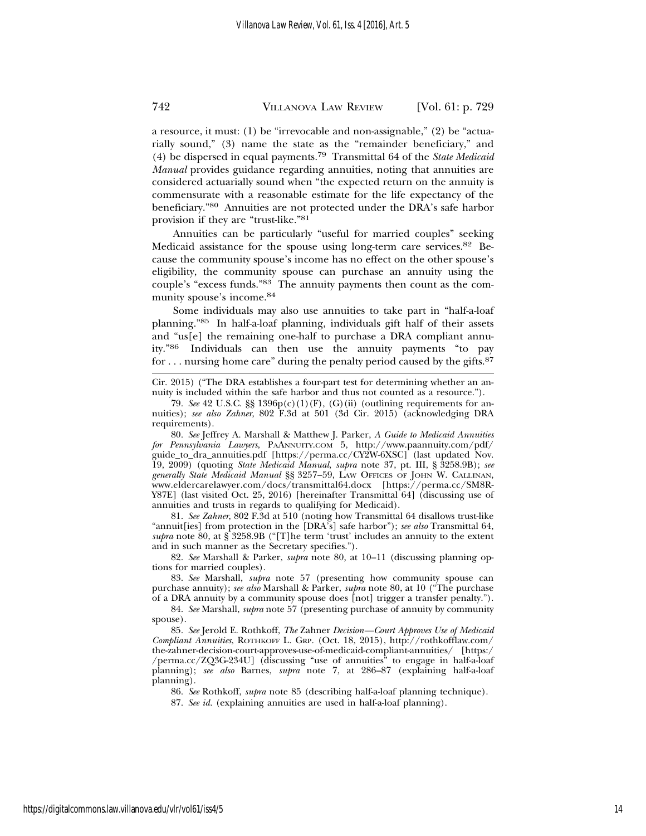a resource, it must: (1) be "irrevocable and non-assignable," (2) be "actuarially sound," (3) name the state as the "remainder beneficiary," and (4) be dispersed in equal payments.79 Transmittal 64 of the *State Medicaid Manual* provides guidance regarding annuities, noting that annuities are considered actuarially sound when "the expected return on the annuity is commensurate with a reasonable estimate for the life expectancy of the beneficiary."80 Annuities are not protected under the DRA's safe harbor provision if they are "trust-like."81

Annuities can be particularly "useful for married couples" seeking Medicaid assistance for the spouse using long-term care services.<sup>82</sup> Because the community spouse's income has no effect on the other spouse's eligibility, the community spouse can purchase an annuity using the couple's "excess funds."83 The annuity payments then count as the community spouse's income.84

Some individuals may also use annuities to take part in "half-a-loaf planning."85 In half-a-loaf planning, individuals gift half of their assets and "us[e] the remaining one-half to purchase a DRA compliant annuity."86 Individuals can then use the annuity payments "to pay for . . . nursing home care" during the penalty period caused by the gifts.87

Cir. 2015) ("The DRA establishes a four-part test for determining whether an annuity is included within the safe harbor and thus not counted as a resource.").

79. *See* 42 U.S.C.  $\S$  1396 $p(c)(1)(F)$ , (G)(ii) (outlining requirements for annuities); *see also Zahner*, 802 F.3d at 501 (3d Cir. 2015) (acknowledging DRA requirements).

80. *See* Jeffrey A. Marshall & Matthew J. Parker, *A Guide to Medicaid Annuities for Pennsylvania Lawyers*, PAANNUITY.COM 5, http://www.paannuity.com/pdf/ guide\_to\_dra\_annuities.pdf [https://perma.cc/CY2W-6XSC] (last updated Nov. 19, 2009) (quoting *State Medicaid Manual*, *supra* note 37, pt. III, § 3258.9B); *see generally State Medicaid Manual* §§ 3257–59, LAW OFFICES OF JOHN W. CALLINAN, www.eldercarelawyer.com/docs/transmittal64.docx [https://perma.cc/SM8R-Y87E] (last visited Oct. 25, 2016) [hereinafter Transmittal 64] (discussing use of annuities and trusts in regards to qualifying for Medicaid).

81. *See Zahner*, 802 F.3d at 510 (noting how Transmittal 64 disallows trust-like "annuit[ies] from protection in the [DRA's] safe harbor"); *see also* Transmittal 64, *supra* note 80, at § 3258.9B ("[T]he term 'trust' includes an annuity to the extent and in such manner as the Secretary specifies.").

82. *See* Marshall & Parker, *supra* note 80, at 10–11 (discussing planning options for married couples).

83. *See* Marshall, *supra* note 57 (presenting how community spouse can purchase annuity); *see also* Marshall & Parker, *supra* note 80, at 10 ("The purchase of a DRA annuity by a community spouse does [not] trigger a transfer penalty.").

84. *See* Marshall, *supra* note 57 (presenting purchase of annuity by community spouse).

85. *See* Jerold E. Rothkoff, *The* Zahner *Decision—Court Approves Use of Medicaid Compliant Annuities*, ROTHKOFF L. GRP. (Oct. 18, 2015), http://rothkofflaw.com/ the-zahner-decision-court-approves-use-of-medicaid-compliant-annuities/ [https:/ /perma.cc/ZQ3G-234U] (discussing "use of annuities" to engage in half-a-loaf planning); *see also* Barnes, *supra* note 7, at 286–87 (explaining half-a-loaf planning).

86. *See* Rothkoff, *supra* note 85 (describing half-a-loaf planning technique).

87. *See id.* (explaining annuities are used in half-a-loaf planning).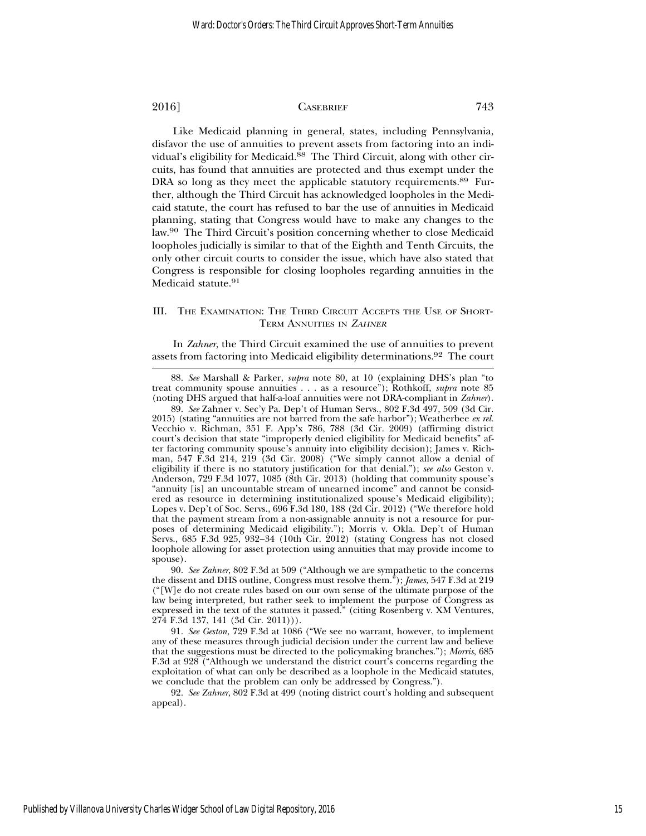Like Medicaid planning in general, states, including Pennsylvania, disfavor the use of annuities to prevent assets from factoring into an individual's eligibility for Medicaid.<sup>88</sup> The Third Circuit, along with other circuits, has found that annuities are protected and thus exempt under the DRA so long as they meet the applicable statutory requirements.<sup>89</sup> Further, although the Third Circuit has acknowledged loopholes in the Medicaid statute, the court has refused to bar the use of annuities in Medicaid planning, stating that Congress would have to make any changes to the law.90 The Third Circuit's position concerning whether to close Medicaid loopholes judicially is similar to that of the Eighth and Tenth Circuits, the only other circuit courts to consider the issue, which have also stated that Congress is responsible for closing loopholes regarding annuities in the Medicaid statute.<sup>91</sup>

#### III. THE EXAMINATION: THE THIRD CIRCUIT ACCEPTS THE USE OF SHORT-TERM ANNUITIES IN <sup>Z</sup>AHNER

In *Zahner*, the Third Circuit examined the use of annuities to prevent assets from factoring into Medicaid eligibility determinations.92 The court

88. *See* Marshall & Parker, *supra* note 80, at 10 (explaining DHS's plan "to treat community spouse annuities . . . as a resource"); Rothkoff, *supra* note 85 (noting DHS argued that half-a-loaf annuities were not DRA-compliant in *Zahner*).

<sup>89.</sup> *See* Zahner v. Sec'y Pa. Dep't of Human Servs., 802 F.3d 497, 509 (3d Cir. 2015) (stating "annuities are not barred from the safe harbor"); Weatherbee *ex rel.* Vecchio v. Richman, 351 F. App'x 786, 788 (3d Cir. 2009) (affirming district court's decision that state "improperly denied eligibility for Medicaid benefits" after factoring community spouse's annuity into eligibility decision); James v. Richman, 547 F.3d 214, 219 (3d Cir. 2008) ("We simply cannot allow a denial of eligibility if there is no statutory justification for that denial."); *see also* Geston v. Anderson, 729 F.3d 1077, 1085 (8th Cir. 2013) (holding that community spouse's "annuity [is] an uncountable stream of unearned income" and cannot be considered as resource in determining institutionalized spouse's Medicaid eligibility); Lopes v. Dep't of Soc. Servs., 696 F.3d 180, 188 (2d Cir. 2012) ("We therefore hold that the payment stream from a non-assignable annuity is not a resource for purposes of determining Medicaid eligibility."); Morris v. Okla. Dep't of Human Servs., 685 F.3d 925, 932–34 (10th Cir. 2012) (stating Congress has not closed loophole allowing for asset protection using annuities that may provide income to spouse).

<sup>90.</sup> *See Zahner*, 802 F.3d at 509 ("Although we are sympathetic to the concerns the dissent and DHS outline, Congress must resolve them."); *James*, 547 F.3d at 219 ("[W]e do not create rules based on our own sense of the ultimate purpose of the law being interpreted, but rather seek to implement the purpose of Congress as expressed in the text of the statutes it passed." (citing Rosenberg v. XM Ventures, 274 F.3d 137, 141 (3d Cir. 2011))).

<sup>91.</sup> *See Geston*, 729 F.3d at 1086 ("We see no warrant, however, to implement any of these measures through judicial decision under the current law and believe that the suggestions must be directed to the policymaking branches."); *Morris*, 685 F.3d at 928 ("Although we understand the district court's concerns regarding the exploitation of what can only be described as a loophole in the Medicaid statutes, we conclude that the problem can only be addressed by Congress.").

<sup>92.</sup> *See Zahner*, 802 F.3d at 499 (noting district court's holding and subsequent appeal).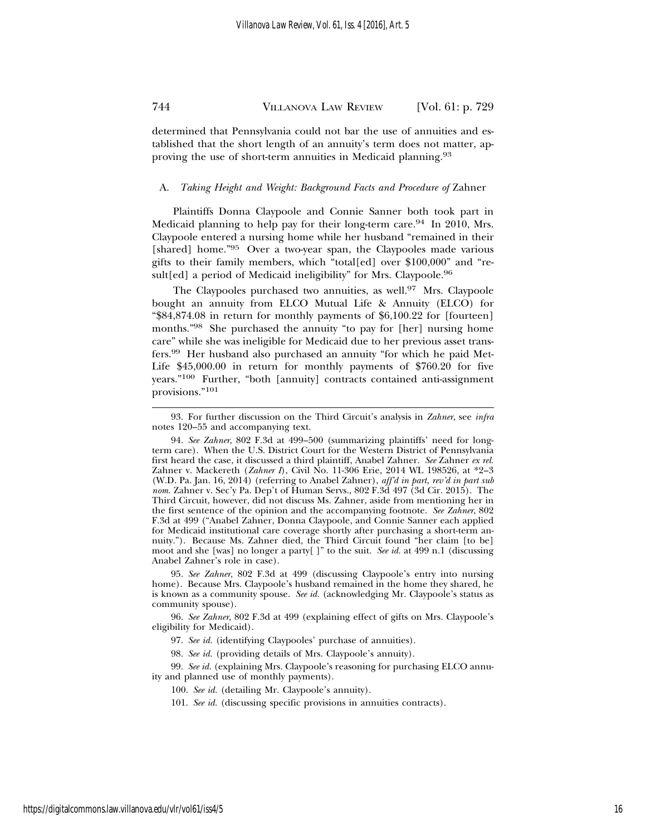determined that Pennsylvania could not bar the use of annuities and established that the short length of an annuity's term does not matter, approving the use of short-term annuities in Medicaid planning.93

#### A. *Taking Height and Weight: Background Facts and Procedure of* Zahner

Plaintiffs Donna Claypoole and Connie Sanner both took part in Medicaid planning to help pay for their long-term care.<sup>94</sup> In 2010, Mrs. Claypoole entered a nursing home while her husband "remained in their [shared] home."<sup>95</sup> Over a two-year span, the Claypooles made various gifts to their family members, which "total[ed] over \$100,000" and "result[ed] a period of Medicaid ineligibility" for Mrs. Claypoole.<sup>96</sup>

The Claypooles purchased two annuities, as well.<sup>97</sup> Mrs. Claypoole bought an annuity from ELCO Mutual Life & Annuity (ELCO) for "\$84,874.08 in return for monthly payments of \$6,100.22 for [fourteen] months."98 She purchased the annuity "to pay for [her] nursing home care" while she was ineligible for Medicaid due to her previous asset transfers.99 Her husband also purchased an annuity "for which he paid Met-Life \$45,000.00 in return for monthly payments of \$760.20 for five years."100 Further, "both [annuity] contracts contained anti-assignment provisions."<sup>101</sup>

95. *See Zahner*, 802 F.3d at 499 (discussing Claypoole's entry into nursing home). Because Mrs. Claypoole's husband remained in the home they shared, he is known as a community spouse. *See id.* (acknowledging Mr. Claypoole's status as community spouse).

96. *See Zahner*, 802 F.3d at 499 (explaining effect of gifts on Mrs. Claypoole's eligibility for Medicaid).

- 97. *See id.* (identifying Claypooles' purchase of annuities).
- 98. *See id.* (providing details of Mrs. Claypoole's annuity).

99. *See id.* (explaining Mrs. Claypoole's reasoning for purchasing ELCO annuity and planned use of monthly payments).

- 100. *See id.* (detailing Mr. Claypoole's annuity).
- 101. *See id.* (discussing specific provisions in annuities contracts).

<sup>93.</sup> For further discussion on the Third Circuit's analysis in *Zahner*, see *infra* notes 120–55 and accompanying text.

<sup>94.</sup> *See Zahner*, 802 F.3d at 499–500 (summarizing plaintiffs' need for longterm care). When the U.S. District Court for the Western District of Pennsylvania first heard the case, it discussed a third plaintiff, Anabel Zahner. *See* Zahner *ex rel.* Zahner v. Mackereth (*Zahner I*), Civil No. 11-306 Erie, 2014 WL 198526, at \*2–3 (W.D. Pa. Jan. 16, 2014) (referring to Anabel Zahner), *aff'd in part, rev'd in part sub nom.* Zahner v. Sec'y Pa. Dep't of Human Servs., 802 F.3d 497 (3d Cir. 2015). The Third Circuit, however, did not discuss Ms. Zahner, aside from mentioning her in the first sentence of the opinion and the accompanying footnote. *See Zahner*, 802 F.3d at 499 ("Anabel Zahner, Donna Claypoole, and Connie Sanner each applied for Medicaid institutional care coverage shortly after purchasing a short-term annuity."). Because Ms. Zahner died, the Third Circuit found "her claim [to be] moot and she [was] no longer a party[ ]" to the suit. *See id.* at 499 n.1 (discussing Anabel Zahner's role in case).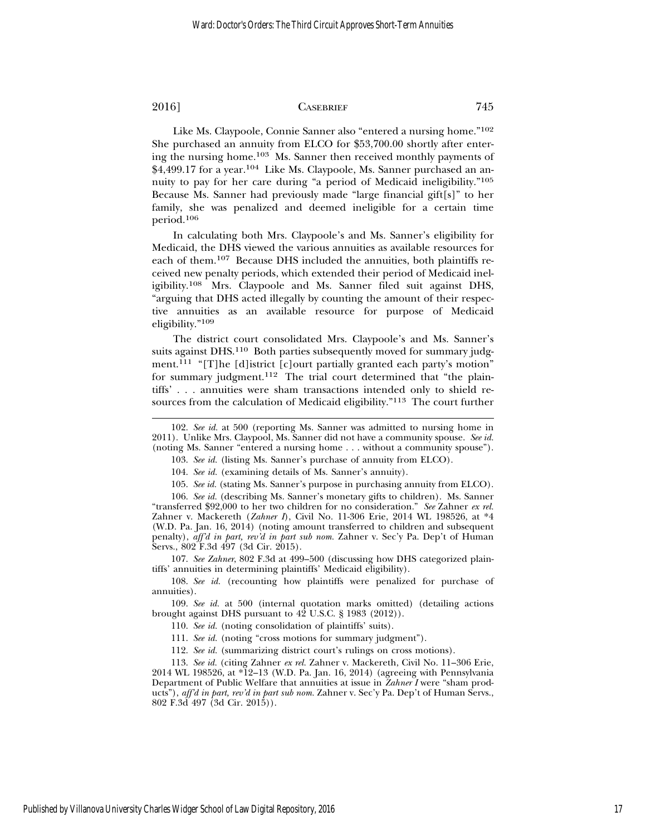Like Ms. Claypoole, Connie Sanner also "entered a nursing home."102 She purchased an annuity from ELCO for \$53,700.00 shortly after entering the nursing home.103 Ms. Sanner then received monthly payments of \$4,499.17 for a year.<sup>104</sup> Like Ms. Claypoole, Ms. Sanner purchased an annuity to pay for her care during "a period of Medicaid ineligibility."105 Because Ms. Sanner had previously made "large financial gift[s]" to her family, she was penalized and deemed ineligible for a certain time period.<sup>106</sup>

In calculating both Mrs. Claypoole's and Ms. Sanner's eligibility for Medicaid, the DHS viewed the various annuities as available resources for each of them.107 Because DHS included the annuities, both plaintiffs received new penalty periods, which extended their period of Medicaid ineligibility.108 Mrs. Claypoole and Ms. Sanner filed suit against DHS, "arguing that DHS acted illegally by counting the amount of their respective annuities as an available resource for purpose of Medicaid eligibility."<sup>109</sup>

The district court consolidated Mrs. Claypoole's and Ms. Sanner's suits against DHS.<sup>110</sup> Both parties subsequently moved for summary judgment.<sup>111</sup> "[T]he [d]istrict [c]ourt partially granted each party's motion" for summary judgment.112 The trial court determined that "the plaintiffs' . . . annuities were sham transactions intended only to shield resources from the calculation of Medicaid eligibility."113 The court further

104. *See id.* (examining details of Ms. Sanner's annuity).

105. *See id.* (stating Ms. Sanner's purpose in purchasing annuity from ELCO).

106. *See id.* (describing Ms. Sanner's monetary gifts to children). Ms. Sanner "transferred \$92,000 to her two children for no consideration." *See* Zahner *ex rel.* Zahner v. Mackereth (*Zahner I*), Civil No. 11-306 Erie, 2014 WL 198526, at \*4 (W.D. Pa. Jan. 16, 2014) (noting amount transferred to children and subsequent penalty), *aff'd in part, rev'd in part sub nom.* Zahner v. Sec'y Pa. Dep't of Human Servs., 802 F.3d 497 (3d Cir. 2015).

107. *See Zahner*, 802 F.3d at 499–500 (discussing how DHS categorized plaintiffs' annuities in determining plaintiffs' Medicaid eligibility).

108. *See id.* (recounting how plaintiffs were penalized for purchase of annuities).

109. *See id.* at 500 (internal quotation marks omitted) (detailing actions brought against DHS pursuant to 42 U.S.C. § 1983 (2012)).

110. *See id.* (noting consolidation of plaintiffs' suits).

111. *See id.* (noting "cross motions for summary judgment").

112. *See id.* (summarizing district court's rulings on cross motions).

113. *See id.* (citing Zahner *ex rel.* Zahner v. Mackereth, Civil No. 11–306 Erie, 2014 WL 198526, at \*12–13 (W.D. Pa. Jan. 16, 2014) (agreeing with Pennsylvania Department of Public Welfare that annuities at issue in *Zahner I* were "sham products"), *aff'd in part, rev'd in part sub nom.* Zahner v. Sec'y Pa. Dep't of Human Servs., 802 F.3d 497 (3d Cir. 2015)).

<sup>102.</sup> *See id.* at 500 (reporting Ms. Sanner was admitted to nursing home in 2011). Unlike Mrs. Claypool, Ms. Sanner did not have a community spouse. *See id.* (noting Ms. Sanner "entered a nursing home . . . without a community spouse").

<sup>103.</sup> *See id.* (listing Ms. Sanner's purchase of annuity from ELCO).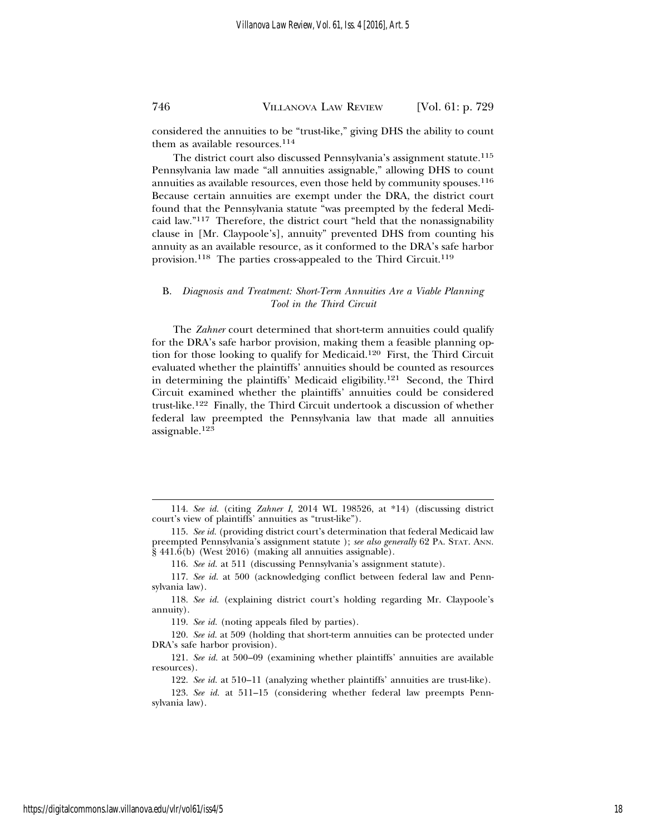considered the annuities to be "trust-like," giving DHS the ability to count them as available resources.<sup>114</sup>

The district court also discussed Pennsylvania's assignment statute.<sup>115</sup> Pennsylvania law made "all annuities assignable," allowing DHS to count annuities as available resources, even those held by community spouses.<sup>116</sup> Because certain annuities are exempt under the DRA, the district court found that the Pennsylvania statute "was preempted by the federal Medicaid law."117 Therefore, the district court "held that the nonassignability clause in [Mr. Claypoole's], annuity" prevented DHS from counting his annuity as an available resource, as it conformed to the DRA's safe harbor provision.<sup>118</sup> The parties cross-appealed to the Third Circuit.<sup>119</sup>

### B. *Diagnosis and Treatment: Short-Term Annuities Are a Viable Planning Tool in the Third Circuit*

The *Zahner* court determined that short-term annuities could qualify for the DRA's safe harbor provision, making them a feasible planning option for those looking to qualify for Medicaid.120 First, the Third Circuit evaluated whether the plaintiffs' annuities should be counted as resources in determining the plaintiffs' Medicaid eligibility.121 Second, the Third Circuit examined whether the plaintiffs' annuities could be considered trust-like.122 Finally, the Third Circuit undertook a discussion of whether federal law preempted the Pennsylvania law that made all annuities assignable.<sup>123</sup>

<sup>114.</sup> *See id.* (citing *Zahner I*, 2014 WL 198526, at \*14) (discussing district court's view of plaintiffs' annuities as "trust-like").

<sup>115.</sup> *See id.* (providing district court's determination that federal Medicaid law preempted Pennsylvania's assignment statute ); *see also generally* 62 PA. STAT. ANN.  $\S$  441.6(b) (West 2016) (making all annuities assignable).

<sup>116.</sup> *See id.* at 511 (discussing Pennsylvania's assignment statute).

<sup>117.</sup> *See id.* at 500 (acknowledging conflict between federal law and Pennsylvania law).

<sup>118.</sup> *See id.* (explaining district court's holding regarding Mr. Claypoole's annuity).

<sup>119.</sup> *See id.* (noting appeals filed by parties).

<sup>120.</sup> *See id.* at 509 (holding that short-term annuities can be protected under DRA's safe harbor provision).

<sup>121.</sup> *See id.* at 500–09 (examining whether plaintiffs' annuities are available resources).

<sup>122.</sup> *See id.* at 510–11 (analyzing whether plaintiffs' annuities are trust-like).

<sup>123.</sup> *See id.* at 511–15 (considering whether federal law preempts Pennsylvania law).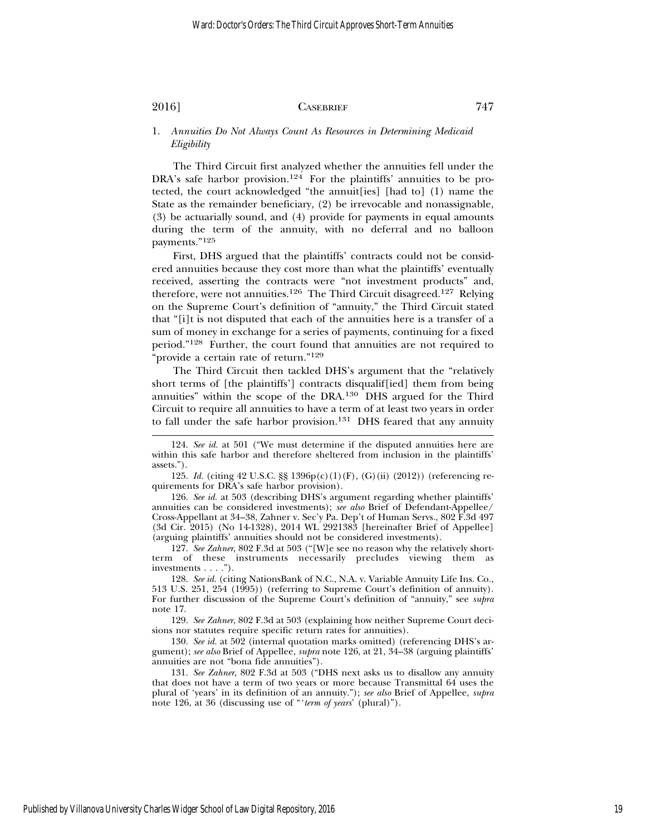1. *Annuities Do Not Always Count As Resources in Determining Medicaid Eligibility*

The Third Circuit first analyzed whether the annuities fell under the DRA's safe harbor provision.<sup>124</sup> For the plaintiffs' annuities to be protected, the court acknowledged "the annuit[ies] [had to] (1) name the State as the remainder beneficiary, (2) be irrevocable and nonassignable, (3) be actuarially sound, and (4) provide for payments in equal amounts during the term of the annuity, with no deferral and no balloon payments."<sup>125</sup>

First, DHS argued that the plaintiffs' contracts could not be considered annuities because they cost more than what the plaintiffs' eventually received, asserting the contracts were "not investment products" and, therefore, were not annuities.<sup>126</sup> The Third Circuit disagreed.<sup>127</sup> Relying on the Supreme Court's definition of "annuity," the Third Circuit stated that "[i]t is not disputed that each of the annuities here is a transfer of a sum of money in exchange for a series of payments, continuing for a fixed period."128 Further, the court found that annuities are not required to "provide a certain rate of return."<sup>129</sup>

The Third Circuit then tackled DHS's argument that the "relatively short terms of [the plaintiffs'] contracts disqualif[ied] them from being annuities" within the scope of the DRA.130 DHS argued for the Third Circuit to require all annuities to have a term of at least two years in order to fall under the safe harbor provision.<sup>131</sup> DHS feared that any annuity

126. *See id.* at 503 (describing DHS's argument regarding whether plaintiffs' annuities can be considered investments); *see also* Brief of Defendant-Appellee/ Cross-Appellant at 34–38, Zahner v. Sec'y Pa. Dep't of Human Servs., 802 F.3d 497 (3d Cir. 2015) (No 14-1328), 2014 WL 2921383 [hereinafter Brief of Appellee] (arguing plaintiffs' annuities should not be considered investments).

127. *See Zahner*, 802 F.3d at 503 ("[W]e see no reason why the relatively shortterm of these instruments necessarily precludes viewing them as investments . . . .").

128. *See id.* (citing NationsBank of N.C., N.A. v. Variable Annuity Life Ins. Co., 513 U.S. 251, 254 (1995)) (referring to Supreme Court's definition of annuity). For further discussion of the Supreme Court's definition of "annuity," see *supra* note 17.

129. *See Zahner*, 802 F.3d at 503 (explaining how neither Supreme Court decisions nor statutes require specific return rates for annuities).

130. *See id.* at 502 (internal quotation marks omitted) (referencing DHS's argument); *see also* Brief of Appellee, *supra* note 126, at 21, 34–38 (arguing plaintiffs' annuities are not "bona fide annuities").

131. *See Zahner*, 802 F.3d at 503 ("DHS next asks us to disallow any annuity that does not have a term of two years or more because Transmittal 64 uses the plural of 'years' in its definition of an annuity."); *see also* Brief of Appellee, *supra* note 126, at 36 (discussing use of "'*term of years*' (plural)").

<sup>124.</sup> *See id.* at 501 ("We must determine if the disputed annuities here are within this safe harbor and therefore sheltered from inclusion in the plaintiffs' assets.").

<sup>125.</sup> *Id.* (citing 42 U.S.C. §§ 1396p(c)(1)(F), (G)(ii) (2012)) (referencing requirements for DRA's safe harbor provision).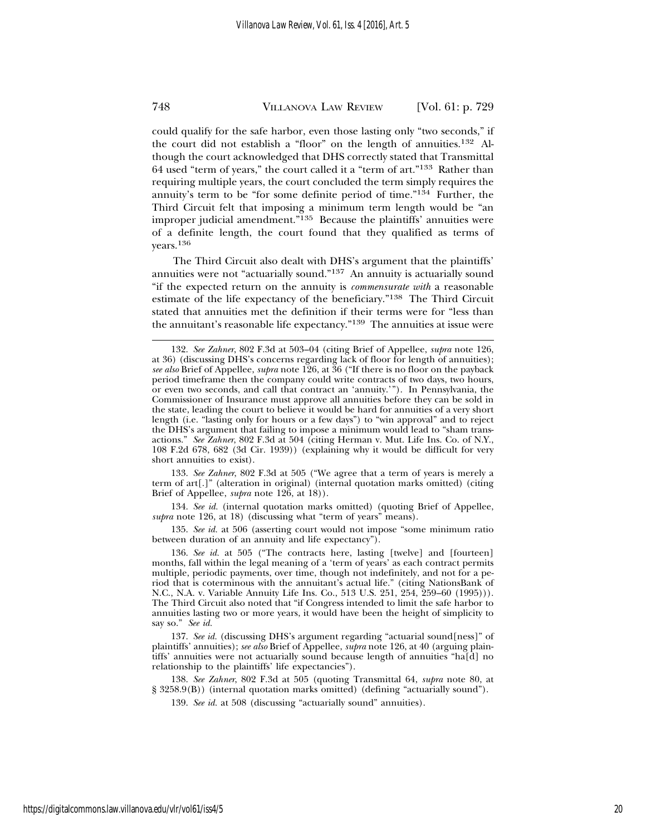could qualify for the safe harbor, even those lasting only "two seconds," if the court did not establish a "floor" on the length of annuities.132 Although the court acknowledged that DHS correctly stated that Transmittal 64 used "term of years," the court called it a "term of art."133 Rather than requiring multiple years, the court concluded the term simply requires the annuity's term to be "for some definite period of time."134 Further, the Third Circuit felt that imposing a minimum term length would be "an improper judicial amendment."135 Because the plaintiffs' annuities were of a definite length, the court found that they qualified as terms of years.<sup>136</sup>

The Third Circuit also dealt with DHS's argument that the plaintiffs' annuities were not "actuarially sound."137 An annuity is actuarially sound "if the expected return on the annuity is *commensurate with* a reasonable estimate of the life expectancy of the beneficiary."138 The Third Circuit stated that annuities met the definition if their terms were for "less than the annuitant's reasonable life expectancy."<sup>139</sup> The annuities at issue were

133. *See Zahner*, 802 F.3d at 505 ("We agree that a term of years is merely a term of art[.]" (alteration in original) (internal quotation marks omitted) (citing Brief of Appellee, *supra* note 126, at 18)).

134. *See id.* (internal quotation marks omitted) (quoting Brief of Appellee, supra note 126, at 18) (discussing what "term of years" means).

135. *See id.* at 506 (asserting court would not impose "some minimum ratio between duration of an annuity and life expectancy").

136. *See id.* at 505 ("The contracts here, lasting [twelve] and [fourteen] months, fall within the legal meaning of a 'term of years' as each contract permits multiple, periodic payments, over time, though not indefinitely, and not for a period that is coterminous with the annuitant's actual life." (citing NationsBank of N.C., N.A. v. Variable Annuity Life Ins. Co., 513 U.S. 251, 254, 259–60 (1995))). The Third Circuit also noted that "if Congress intended to limit the safe harbor to annuities lasting two or more years, it would have been the height of simplicity to say so." *See id.*

137. See id. (discussing DHS's argument regarding "actuarial sound[ness]" of plaintiffs' annuities); *see also* Brief of Appellee, *supra* note 126, at 40 (arguing plaintiffs' annuities were not actuarially sound because length of annuities "ha[d] no relationship to the plaintiffs' life expectancies").

138. *See Zahner*, 802 F.3d at 505 (quoting Transmittal 64, *supra* note 80, at § 3258.9(B)) (internal quotation marks omitted) (defining "actuarially sound").

139. *See id.* at 508 (discussing "actuarially sound" annuities).

<sup>132.</sup> *See Zahner*, 802 F.3d at 503–04 (citing Brief of Appellee, *supra* note 126, at 36) (discussing DHS's concerns regarding lack of floor for length of annuities); *see also* Brief of Appellee, *supra* note 126, at 36 ("If there is no floor on the payback period timeframe then the company could write contracts of two days, two hours, or even two seconds, and call that contract an 'annuity.'"). In Pennsylvania, the Commissioner of Insurance must approve all annuities before they can be sold in the state, leading the court to believe it would be hard for annuities of a very short length (i.e. "lasting only for hours or a few days") to "win approval" and to reject the DHS's argument that failing to impose a minimum would lead to "sham transactions." *See Zahner*, 802 F.3d at 504 (citing Herman v. Mut. Life Ins. Co. of N.Y., 108 F.2d 678, 682 (3d Cir. 1939)) (explaining why it would be difficult for very short annuities to exist).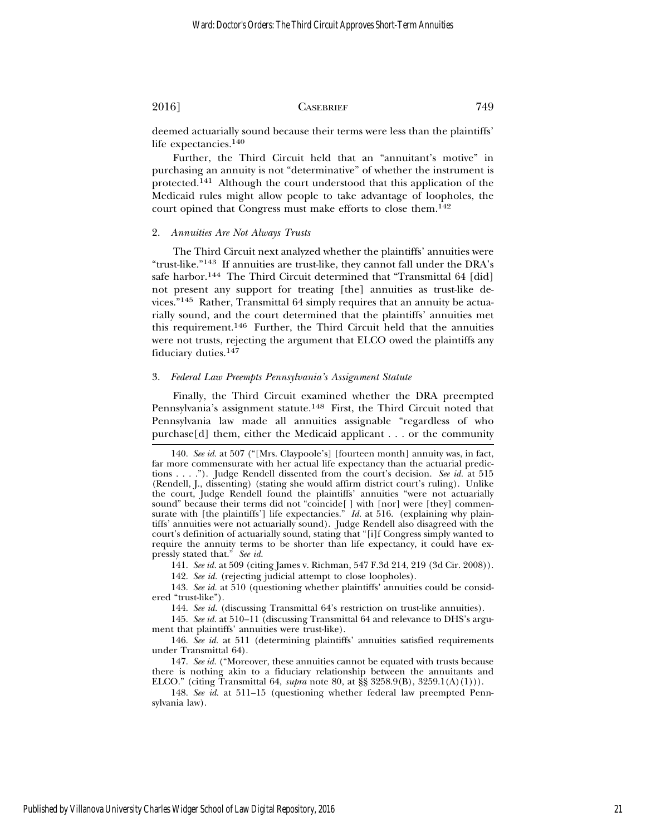deemed actuarially sound because their terms were less than the plaintiffs' life expectancies.140

Further, the Third Circuit held that an "annuitant's motive" in purchasing an annuity is not "determinative" of whether the instrument is protected.141 Although the court understood that this application of the Medicaid rules might allow people to take advantage of loopholes, the court opined that Congress must make efforts to close them.142

#### 2. *Annuities Are Not Always Trusts*

The Third Circuit next analyzed whether the plaintiffs' annuities were "trust-like."143 If annuities are trust-like, they cannot fall under the DRA's safe harbor.<sup>144</sup> The Third Circuit determined that "Transmittal 64 [did] not present any support for treating [the] annuities as trust-like devices."145 Rather, Transmittal 64 simply requires that an annuity be actuarially sound, and the court determined that the plaintiffs' annuities met this requirement.146 Further, the Third Circuit held that the annuities were not trusts, rejecting the argument that ELCO owed the plaintiffs any fiduciary duties.147

#### 3. *Federal Law Preempts Pennsylvania's Assignment Statute*

Finally, the Third Circuit examined whether the DRA preempted Pennsylvania's assignment statute.148 First, the Third Circuit noted that Pennsylvania law made all annuities assignable "regardless of who purchase[d] them, either the Medicaid applicant . . . or the community

141. *See id.* at 509 (citing James v. Richman, 547 F.3d 214, 219 (3d Cir. 2008)).

142. *See id.* (rejecting judicial attempt to close loopholes).

143. *See id.* at 510 (questioning whether plaintiffs' annuities could be considered "trust-like").

144. *See id.* (discussing Transmittal 64's restriction on trust-like annuities).

145. *See id.* at 510–11 (discussing Transmittal 64 and relevance to DHS's argument that plaintiffs' annuities were trust-like).

146. *See id.* at 511 (determining plaintiffs' annuities satisfied requirements under Transmittal 64).

147. *See id.* ("Moreover, these annuities cannot be equated with trusts because there is nothing akin to a fiduciary relationship between the annuitants and ELCO." (citing Transmittal 64, *supra* note 80, at §§ 3258.9(B), 3259.1(A)(1))).

148. *See id.* at 511–15 (questioning whether federal law preempted Pennsylvania law).

<sup>140.</sup> *See id.* at 507 ("[Mrs. Claypoole's] [fourteen month] annuity was, in fact, far more commensurate with her actual life expectancy than the actuarial predictions . . . ."). Judge Rendell dissented from the court's decision. *See id.* at 515 (Rendell, J., dissenting) (stating she would affirm district court's ruling). Unlike the court, Judge Rendell found the plaintiffs' annuities "were not actuarially sound" because their terms did not "coincide[ ] with [nor] were [they] commensurate with [the plaintiffs'] life expectancies." *Id.* at 516. (explaining why plaintiffs' annuities were not actuarially sound). Judge Rendell also disagreed with the court's definition of actuarially sound, stating that "[i]f Congress simply wanted to require the annuity terms to be shorter than life expectancy, it could have expressly stated that." *See id.*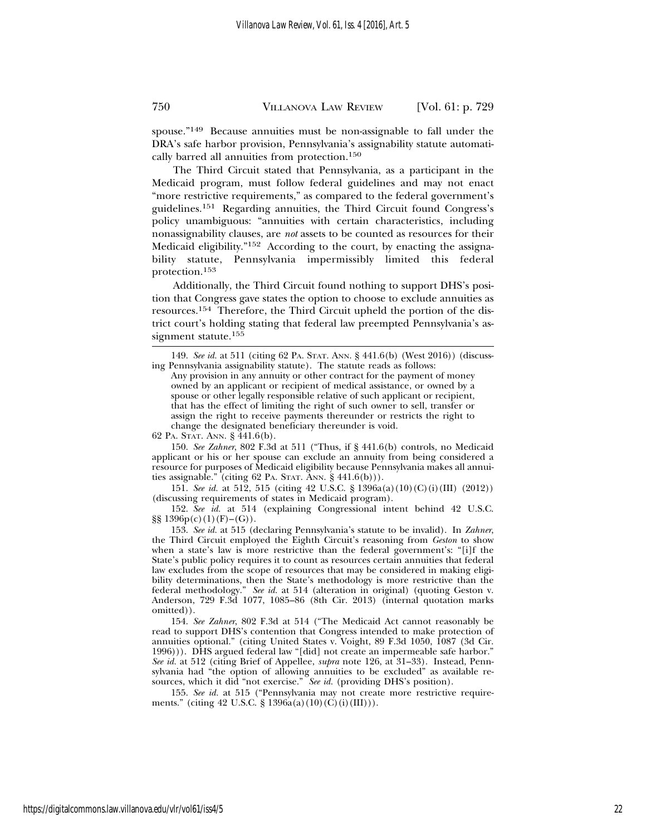spouse."149 Because annuities must be non-assignable to fall under the DRA's safe harbor provision, Pennsylvania's assignability statute automatically barred all annuities from protection.150

The Third Circuit stated that Pennsylvania, as a participant in the Medicaid program, must follow federal guidelines and may not enact "more restrictive requirements," as compared to the federal government's guidelines.151 Regarding annuities, the Third Circuit found Congress's policy unambiguous: "annuities with certain characteristics, including nonassignability clauses, are *not* assets to be counted as resources for their Medicaid eligibility."152 According to the court, by enacting the assignability statute, Pennsylvania impermissibly limited this federal protection.<sup>153</sup>

Additionally, the Third Circuit found nothing to support DHS's position that Congress gave states the option to choose to exclude annuities as resources.154 Therefore, the Third Circuit upheld the portion of the district court's holding stating that federal law preempted Pennsylvania's assignment statute.<sup>155</sup>

149. *See id.* at 511 (citing 62 PA. STAT. ANN. § 441.6(b) (West 2016)) (discussing Pennsylvania assignability statute). The statute reads as follows:

Any provision in any annuity or other contract for the payment of money owned by an applicant or recipient of medical assistance, or owned by a spouse or other legally responsible relative of such applicant or recipient, that has the effect of limiting the right of such owner to sell, transfer or assign the right to receive payments thereunder or restricts the right to change the designated beneficiary thereunder is void.

62 PA. STAT. ANN. § 441.6(b).

150. *See Zahner*, 802 F.3d at 511 ("Thus, if § 441.6(b) controls, no Medicaid applicant or his or her spouse can exclude an annuity from being considered a resource for purposes of Medicaid eligibility because Pennsylvania makes all annuities assignable." (citing 62 PA. STAT. ANN.  $\S$  441.6(b))).

151. *See id.* at 512, 515 (citing 42 U.S.C. § 1396a(a)(10)(C)(i)(III) (2012)) (discussing requirements of states in Medicaid program).

152. *See id.* at 514 (explaining Congressional intent behind 42 U.S.C.  $\S\S 1396p(c)(1)(F)-(G)$ .

153. *See id.* at 515 (declaring Pennsylvania's statute to be invalid). In *Zahner*, the Third Circuit employed the Eighth Circuit's reasoning from *Geston* to show when a state's law is more restrictive than the federal government's: "[i]f the State's public policy requires it to count as resources certain annuities that federal law excludes from the scope of resources that may be considered in making eligibility determinations, then the State's methodology is more restrictive than the federal methodology." *See id.* at 514 (alteration in original) (quoting Geston v. Anderson, 729 F.3d 1077, 1085–86 (8th Cir. 2013) (internal quotation marks omitted)).

154. *See Zahner*, 802 F.3d at 514 ("The Medicaid Act cannot reasonably be read to support DHS's contention that Congress intended to make protection of annuities optional." (citing United States v. Voight, 89 F.3d 1050, 1087 (3d Cir. 1996))). DHS argued federal law "[did] not create an impermeable safe harbor." *See id.* at 512 (citing Brief of Appellee, *supra* note 126, at 31–33). Instead, Pennsylvania had "the option of allowing annuities to be excluded" as available resources, which it did "not exercise." *See id.* (providing DHS's position).

155. *See id.* at 515 ("Pennsylvania may not create more restrictive requirements." (citing 42 U.S.C. § 1396a(a)(10)(C)(i)(III))).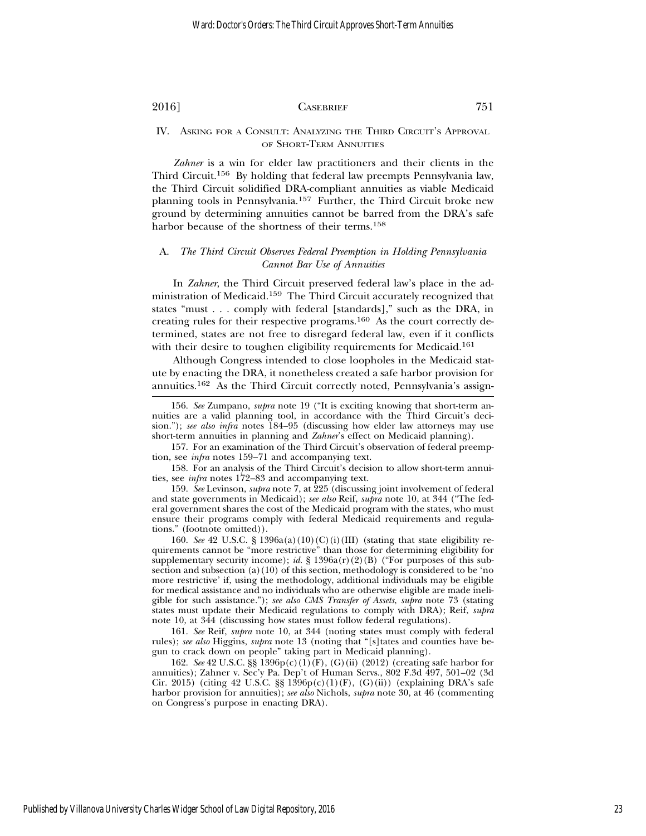#### IV. ASKING FOR A CONSULT: ANALYZING THE THIRD CIRCUIT'S APPROVAL OF SHORT-TERM ANNUITIES

*Zahner* is a win for elder law practitioners and their clients in the Third Circuit.156 By holding that federal law preempts Pennsylvania law, the Third Circuit solidified DRA-compliant annuities as viable Medicaid planning tools in Pennsylvania.157 Further, the Third Circuit broke new ground by determining annuities cannot be barred from the DRA's safe harbor because of the shortness of their terms.<sup>158</sup>

### A. *The Third Circuit Observes Federal Preemption in Holding Pennsylvania Cannot Bar Use of Annuities*

In *Zahner*, the Third Circuit preserved federal law's place in the administration of Medicaid.159 The Third Circuit accurately recognized that states "must . . . comply with federal [standards]," such as the DRA, in creating rules for their respective programs.160 As the court correctly determined, states are not free to disregard federal law, even if it conflicts with their desire to toughen eligibility requirements for Medicaid.<sup>161</sup>

Although Congress intended to close loopholes in the Medicaid statute by enacting the DRA, it nonetheless created a safe harbor provision for annuities.162 As the Third Circuit correctly noted, Pennsylvania's assign-

157. For an examination of the Third Circuit's observation of federal preemption, see *infra* notes 159–71 and accompanying text.

158. For an analysis of the Third Circuit's decision to allow short-term annuities, see *infra* notes 172–83 and accompanying text.

159. *See* Levinson, *supra* note 7, at 225 (discussing joint involvement of federal and state governments in Medicaid); *see also* Reif, *supra* note 10, at 344 ("The federal government shares the cost of the Medicaid program with the states, who must ensure their programs comply with federal Medicaid requirements and regulations." (footnote omitted)).

160. *See* 42 U.S.C. § 1396a(a)(10)(C)(i)(III) (stating that state eligibility requirements cannot be "more restrictive" than those for determining eligibility for supplementary security income); *id.* § 1396a(r)(2)(B) ("For purposes of this subsection and subsection (a)(10) of this section, methodology is considered to be 'no more restrictive' if, using the methodology, additional individuals may be eligible for medical assistance and no individuals who are otherwise eligible are made ineligible for such assistance."); *see also CMS Transfer of Assets*, *supra* note 73 (stating states must update their Medicaid regulations to comply with DRA); Reif, *supra* note 10, at 344 (discussing how states must follow federal regulations).

161. *See* Reif, *supra* note 10, at 344 (noting states must comply with federal rules); *see also* Higgins, *supra* note 13 (noting that "[s]tates and counties have begun to crack down on people" taking part in Medicaid planning).

162. *See* 42 U.S.C. §§ 1396p(c)(1)(F), (G)(ii) (2012) (creating safe harbor for annuities); Zahner v. Sec'y Pa. Dep't of Human Servs., 802 F.3d 497, 501–02 (3d Cir. 2015) (citing 42 U.S.C.  $\S$  1396p(c)(1)(F), (G)(ii)) (explaining DRA's safe harbor provision for annuities); *see also* Nichols, *supra* note 30, at 46 (commenting on Congress's purpose in enacting DRA).

<sup>156.</sup> *See* Zumpano, *supra* note 19 ("It is exciting knowing that short-term annuities are a valid planning tool, in accordance with the Third Circuit's decision."); *see also infra* notes 184–95 (discussing how elder law attorneys may use short-term annuities in planning and *Zahner*'s effect on Medicaid planning).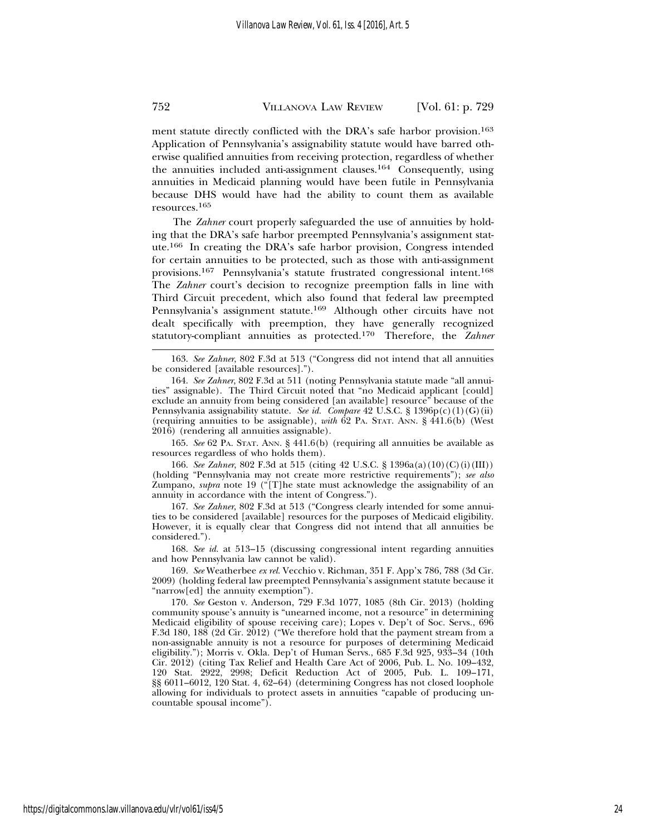ment statute directly conflicted with the DRA's safe harbor provision.<sup>163</sup> Application of Pennsylvania's assignability statute would have barred otherwise qualified annuities from receiving protection, regardless of whether the annuities included anti-assignment clauses.164 Consequently, using annuities in Medicaid planning would have been futile in Pennsylvania because DHS would have had the ability to count them as available resources.<sup>165</sup>

The *Zahner* court properly safeguarded the use of annuities by holding that the DRA's safe harbor preempted Pennsylvania's assignment statute.166 In creating the DRA's safe harbor provision, Congress intended for certain annuities to be protected, such as those with anti-assignment provisions.167 Pennsylvania's statute frustrated congressional intent.168 The *Zahner* court's decision to recognize preemption falls in line with Third Circuit precedent, which also found that federal law preempted Pennsylvania's assignment statute.169 Although other circuits have not dealt specifically with preemption, they have generally recognized statutory-compliant annuities as protected.170 Therefore, the *Zahner*

165. *See* 62 PA. STAT. ANN. § 441.6(b) (requiring all annuities be available as resources regardless of who holds them).

166. *See Zahner*, 802 F.3d at 515 (citing 42 U.S.C. § 1396a(a)(10)(C)(i)(III)) (holding "Pennsylvania may not create more restrictive requirements"); *see also* Zumpano, *supra* note 19 ("[T]he state must acknowledge the assignability of an annuity in accordance with the intent of Congress.").

167. *See Zahner*, 802 F.3d at 513 ("Congress clearly intended for some annuities to be considered [available] resources for the purposes of Medicaid eligibility. However, it is equally clear that Congress did not intend that all annuities be considered.").

168. *See id.* at 513–15 (discussing congressional intent regarding annuities and how Pennsylvania law cannot be valid).

169. *See* Weatherbee *ex rel.* Vecchio v. Richman, 351 F. App'x 786, 788 (3d Cir. 2009) (holding federal law preempted Pennsylvania's assignment statute because it "narrow[ed] the annuity exemption").

170. *See* Geston v. Anderson, 729 F.3d 1077, 1085 (8th Cir. 2013) (holding community spouse's annuity is "unearned income, not a resource" in determining Medicaid eligibility of spouse receiving care); Lopes v. Dep't of Soc. Servs., 696 F.3d 180, 188 (2d Cir. 2012) ("We therefore hold that the payment stream from a non-assignable annuity is not a resource for purposes of determining Medicaid eligibility."); Morris v. Okla. Dep't of Human Servs., 685 F.3d 925, 933–34 (10th Cir. 2012) (citing Tax Relief and Health Care Act of 2006, Pub. L. No. 109–432, 120 Stat. 2922, 2998; Deficit Reduction Act of 2005, Pub. L. 109–171, §§ 6011–6012, 120 Stat. 4, 62–64) (determining Congress has not closed loophole allowing for individuals to protect assets in annuities "capable of producing uncountable spousal income").

https://digitalcommons.law.villanova.edu/vlr/vol61/iss4/5

<sup>163.</sup> *See Zahner*, 802 F.3d at 513 ("Congress did not intend that all annuities be considered [available resources].").

<sup>164.</sup> *See Zahner*, 802 F.3d at 511 (noting Pennsylvania statute made "all annuities" assignable). The Third Circuit noted that "no Medicaid applicant [could] exclude an annuity from being considered [an available] resource" because of the Pennsylvania assignability statute. *See id. Compare* 42 U.S.C. § 1396p(c)(1)(G)(ii) (requiring annuities to be assignable), *with* 62 PA. STAT. ANN. § 441.6(b) (West 2016) (rendering all annuities assignable).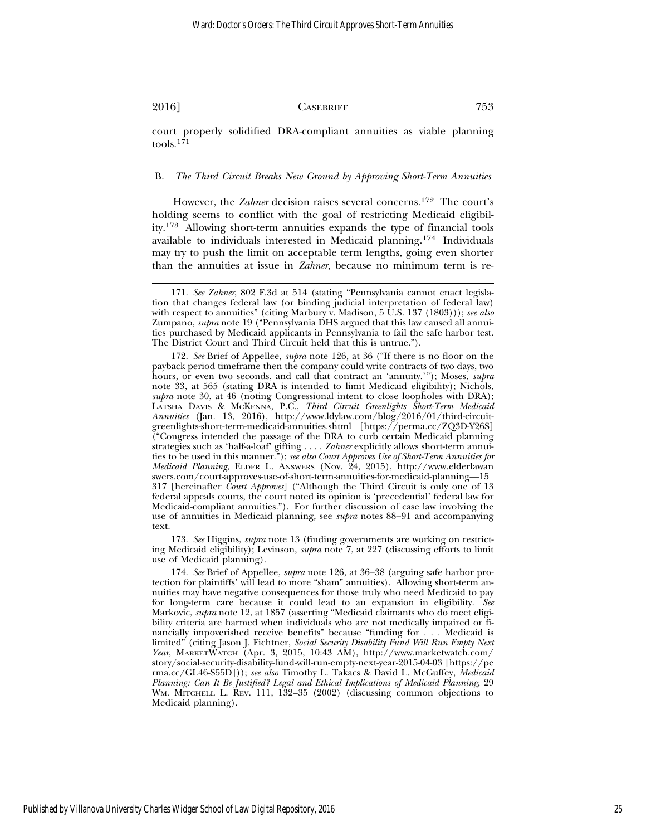court properly solidified DRA-compliant annuities as viable planning tools.<sup>171</sup>

#### B. *The Third Circuit Breaks New Ground by Approving Short-Term Annuities*

However, the *Zahner* decision raises several concerns.172 The court's holding seems to conflict with the goal of restricting Medicaid eligibility.173 Allowing short-term annuities expands the type of financial tools available to individuals interested in Medicaid planning.174 Individuals may try to push the limit on acceptable term lengths, going even shorter than the annuities at issue in *Zahner*, because no minimum term is re-

173. *See* Higgins, *supra* note 13 (finding governments are working on restricting Medicaid eligibility); Levinson, *supra* note 7, at 227 (discussing efforts to limit use of Medicaid planning).

174. *See* Brief of Appellee, *supra* note 126, at 36–38 (arguing safe harbor protection for plaintiffs' will lead to more "sham" annuities). Allowing short-term annuities may have negative consequences for those truly who need Medicaid to pay for long-term care because it could lead to an expansion in eligibility. *See* Markovic, *supra* note 12, at 1857 (asserting "Medicaid claimants who do meet eligibility criteria are harmed when individuals who are not medically impaired or financially impoverished receive benefits" because "funding for . . . Medicaid is limited" (citing Jason J. Fichtner, *Social Security Disability Fund Will Run Empty Next Year*, MARKETWATCH (Apr. 3, 2015, 10:43 AM), http://www.marketwatch.com/ story/social-security-disability-fund-will-run-empty-next-year-2015-04-03 [https://pe rma.cc/GL46-S55D])); *see also* Timothy L. Takacs & David L. McGuffey, *Medicaid Planning: Can It Be Justified? Legal and Ethical Implications of Medicaid Planning*, 29 WM. MITCHELL L. REV. 111, 132–35 (2002) (discussing common objections to Medicaid planning).

<sup>171.</sup> *See Zahner*, 802 F.3d at 514 (stating "Pennsylvania cannot enact legislation that changes federal law (or binding judicial interpretation of federal law) with respect to annuities" (citing Marbury v. Madison, 5 U.S. 137 (1803))); *see also* Zumpano, *supra* note 19 ("Pennsylvania DHS argued that this law caused all annuities purchased by Medicaid applicants in Pennsylvania to fail the safe harbor test. The District Court and Third Circuit held that this is untrue.").

<sup>172.</sup> *See* Brief of Appellee, *supra* note 126, at 36 ("If there is no floor on the payback period timeframe then the company could write contracts of two days, two hours, or even two seconds, and call that contract an 'annuity.'"); Moses, *supra* note 33, at 565 (stating DRA is intended to limit Medicaid eligibility); Nichols, *supra* note 30, at 46 (noting Congressional intent to close loopholes with DRA); LATSHA DAVIS & MCKENNA, P.C., *Third Circuit Greenlights Short-Term Medicaid Annuities* (Jan. 13, 2016), http://www.ldylaw.com/blog/2016/01/third-circuitgreenlights-short-term-medicaid-annuities.shtml [https://perma.cc/ZQ3D-Y26S] ("Congress intended the passage of the DRA to curb certain Medicaid planning strategies such as 'half-a-loaf' gifting . . . . *Zahner* explicitly allows short-term annuities to be used in this manner."); *see also Court Approves Use of Short-Term Annuities for Medicaid Planning*, ELDER L. ANSWERS (Nov. 24, 2015), http://www.elderlawan swers.com/court-approves-use-of-short-term-annuities-for-medicaid-planning—15 317 [hereinafter *Court Approves*] ("Although the Third Circuit is only one of 13 federal appeals courts, the court noted its opinion is 'precedential' federal law for Medicaid-compliant annuities."). For further discussion of case law involving the use of annuities in Medicaid planning, see *supra* notes 88–91 and accompanying text.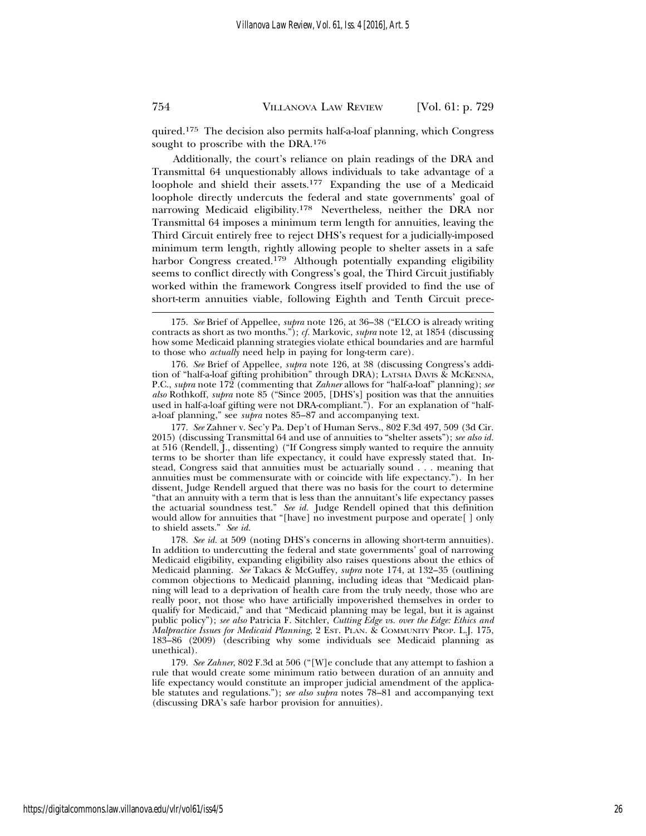quired.175 The decision also permits half-a-loaf planning, which Congress sought to proscribe with the DRA.<sup>176</sup>

Additionally, the court's reliance on plain readings of the DRA and Transmittal 64 unquestionably allows individuals to take advantage of a loophole and shield their assets.177 Expanding the use of a Medicaid loophole directly undercuts the federal and state governments' goal of narrowing Medicaid eligibility.178 Nevertheless, neither the DRA nor Transmittal 64 imposes a minimum term length for annuities, leaving the Third Circuit entirely free to reject DHS's request for a judicially-imposed minimum term length, rightly allowing people to shelter assets in a safe harbor Congress created.<sup>179</sup> Although potentially expanding eligibility seems to conflict directly with Congress's goal, the Third Circuit justifiably worked within the framework Congress itself provided to find the use of short-term annuities viable, following Eighth and Tenth Circuit prece-

176. *See* Brief of Appellee, *supra* note 126, at 38 (discussing Congress's addition of "half-a-loaf gifting prohibition" through DRA); LATSHA DAVIS & MCKENNA, P.C., *supra* note 172 (commenting that *Zahner* allows for "half-a-loaf" planning); *see also* Rothkoff, *supra* note 85 ("Since 2005, [DHS's] position was that the annuities used in half-a-loaf gifting were not DRA-compliant."). For an explanation of "halfa-loaf planning," see *supra* notes 85–87 and accompanying text.

177. *See* Zahner v. Sec'y Pa. Dep't of Human Servs., 802 F.3d 497, 509 (3d Cir. 2015) (discussing Transmittal 64 and use of annuities to "shelter assets"); *see also id.* at 516 (Rendell, J., dissenting) ("If Congress simply wanted to require the annuity terms to be shorter than life expectancy, it could have expressly stated that. Instead, Congress said that annuities must be actuarially sound . . . meaning that annuities must be commensurate with or coincide with life expectancy."). In her dissent, Judge Rendell argued that there was no basis for the court to determine "that an annuity with a term that is less than the annuitant's life expectancy passes the actuarial soundness test." *See id.* Judge Rendell opined that this definition would allow for annuities that "[have] no investment purpose and operate[ ] only to shield assets." *See id.*

<sup>175.</sup> *See* Brief of Appellee, *supra* note 126, at 36–38 ("ELCO is already writing contracts as short as two months."); *cf.* Markovic, *supra* note 12, at 1854 (discussing how some Medicaid planning strategies violate ethical boundaries and are harmful to those who *actually* need help in paying for long-term care).

<sup>178.</sup> *See id.* at 509 (noting DHS's concerns in allowing short-term annuities). In addition to undercutting the federal and state governments' goal of narrowing Medicaid eligibility, expanding eligibility also raises questions about the ethics of Medicaid planning. *See* Takacs & McGuffey, *supra* note 174, at 132–35 (outlining common objections to Medicaid planning, including ideas that "Medicaid planning will lead to a deprivation of health care from the truly needy, those who are really poor, not those who have artificially impoverished themselves in order to qualify for Medicaid," and that "Medicaid planning may be legal, but it is against public policy"); *see also* Patricia F. Sitchler, *Cutting Edge vs. over the Edge: Ethics and Malpractice Issues for Medicaid Planning*, 2 EST. PLAN. & COMMUNITY PROP. L.J. 175, 183–86 (2009) (describing why some individuals see Medicaid planning as unethical).

<sup>179.</sup> *See Zahner*, 802 F.3d at 506 ("[W]e conclude that any attempt to fashion a rule that would create some minimum ratio between duration of an annuity and life expectancy would constitute an improper judicial amendment of the applicable statutes and regulations."); *see also supra* notes 78–81 and accompanying text (discussing DRA's safe harbor provision for annuities).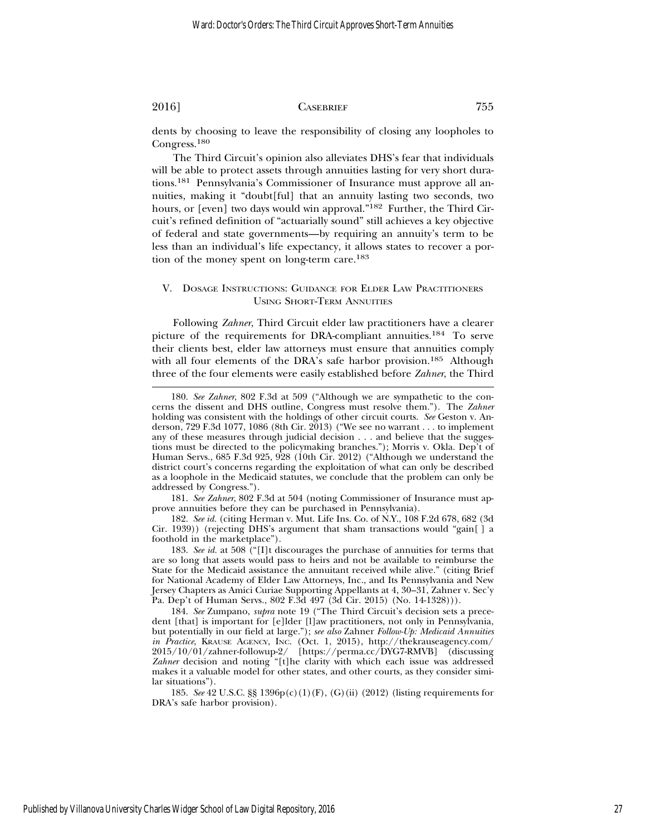dents by choosing to leave the responsibility of closing any loopholes to Congress.<sup>180</sup>

The Third Circuit's opinion also alleviates DHS's fear that individuals will be able to protect assets through annuities lasting for very short durations.181 Pennsylvania's Commissioner of Insurance must approve all annuities, making it "doubt[ful] that an annuity lasting two seconds, two hours, or [even] two days would win approval."<sup>182</sup> Further, the Third Circuit's refined definition of "actuarially sound" still achieves a key objective of federal and state governments—by requiring an annuity's term to be less than an individual's life expectancy, it allows states to recover a portion of the money spent on long-term care.<sup>183</sup>

#### V. DOSAGE INSTRUCTIONS: GUIDANCE FOR ELDER LAW PRACTITIONERS USING SHORT-TERM ANNUITIES

Following *Zahner*, Third Circuit elder law practitioners have a clearer picture of the requirements for DRA-compliant annuities.184 To serve their clients best, elder law attorneys must ensure that annuities comply with all four elements of the DRA's safe harbor provision.<sup>185</sup> Although three of the four elements were easily established before *Zahner*, the Third

181. *See Zahner*, 802 F.3d at 504 (noting Commissioner of Insurance must approve annuities before they can be purchased in Pennsylvania).

182. *See id.* (citing Herman v. Mut. Life Ins. Co. of N.Y., 108 F.2d 678, 682 (3d Cir. 1939)) (rejecting DHS's argument that sham transactions would "gain[ ] a foothold in the marketplace").

<sup>180.</sup> *See Zahner*, 802 F.3d at 509 ("Although we are sympathetic to the concerns the dissent and DHS outline, Congress must resolve them."). The *Zahner* holding was consistent with the holdings of other circuit courts. *See* Geston v. Anderson, 729 F.3d 1077, 1086 (8th Cir. 2013) ("We see no warrant . . . to implement any of these measures through judicial decision . . . and believe that the suggestions must be directed to the policymaking branches."); Morris v. Okla. Dep't of Human Servs., 685 F.3d 925, 928 (10th Cir. 2012) ("Although we understand the district court's concerns regarding the exploitation of what can only be described as a loophole in the Medicaid statutes, we conclude that the problem can only be addressed by Congress.").

<sup>183.</sup> *See id.* at 508 ("[I]t discourages the purchase of annuities for terms that are so long that assets would pass to heirs and not be available to reimburse the State for the Medicaid assistance the annuitant received while alive." (citing Brief for National Academy of Elder Law Attorneys, Inc., and Its Pennsylvania and New Jersey Chapters as Amici Curiae Supporting Appellants at 4, 30–31, Zahner v. Sec'y Pa. Dep't of Human Servs., 802 F.3d 497 (3d Cir. 2015) (No. 14-1328))).

<sup>184.</sup> *See* Zumpano, *supra* note 19 ("The Third Circuit's decision sets a precedent [that] is important for [e]lder [l]aw practitioners, not only in Pennsylvania, but potentially in our field at large."); *see also* Zahner *Follow-Up: Medicaid Annuities in Practice*, KRAUSE AGENCY, INC. (Oct. 1, 2015), http://thekrauseagency.com/ 2015/10/01/zahner-followup-2/ [https://perma.cc/DYG7-RMVB] (discussing Zahner decision and noting "[t]he clarity with which each issue was addressed makes it a valuable model for other states, and other courts, as they consider similar situations").

<sup>185.</sup> *See* 42 U.S.C. §§ 1396p(c)(1)(F), (G)(ii) (2012) (listing requirements for DRA's safe harbor provision).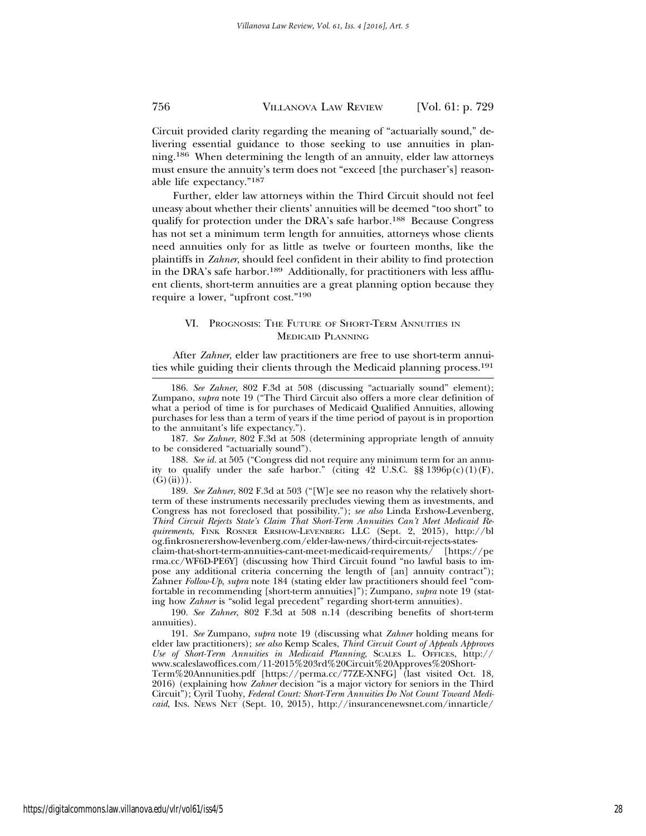Circuit provided clarity regarding the meaning of "actuarially sound," delivering essential guidance to those seeking to use annuities in planning.186 When determining the length of an annuity, elder law attorneys must ensure the annuity's term does not "exceed [the purchaser's] reasonable life expectancy."187

Further, elder law attorneys within the Third Circuit should not feel uneasy about whether their clients' annuities will be deemed "too short" to qualify for protection under the DRA's safe harbor.<sup>188</sup> Because Congress has not set a minimum term length for annuities, attorneys whose clients need annuities only for as little as twelve or fourteen months, like the plaintiffs in *Zahner*, should feel confident in their ability to find protection in the DRA's safe harbor.<sup>189</sup> Additionally, for practitioners with less affluent clients, short-term annuities are a great planning option because they require a lower, "upfront cost."190

#### VI. PROGNOSIS: THE FUTURE OF SHORT-TERM ANNUITIES IN MEDICAID PLANNING

After *Zahner*, elder law practitioners are free to use short-term annuities while guiding their clients through the Medicaid planning process.191

187. *See Zahner*, 802 F.3d at 508 (determining appropriate length of annuity to be considered "actuarially sound").

188. *See id.* at 505 ("Congress did not require any minimum term for an annuity to qualify under the safe harbor." (citing  $42 \text{ U.S.C. }$  \$§ 1396p(c)(1)(F),  $(G)(ii))$ .

189. *See Zahner*, 802 F.3d at 503 ("[W]e see no reason why the relatively shortterm of these instruments necessarily precludes viewing them as investments, and Congress has not foreclosed that possibility."); *see also* Linda Ershow-Levenberg, *Third Circuit Rejects State's Claim That Short-Term Annuities Can't Meet Medicaid Requirements*, FINK ROSNER ERSHOW-LEVENBERG LLC (Sept. 2, 2015), http://bl og.finkrosnerershow-levenberg.com/elder-law-news/third-circuit-rejects-states-

claim-that-short-term-annuities-cant-meet-medicaid-requirements/ [https://pe rma.cc/WF6D-PE6Y] (discussing how Third Circuit found "no lawful basis to impose any additional criteria concerning the length of [an] annuity contract"); Zahner *Follow-Up*, *supra* note 184 (stating elder law practitioners should feel "comfortable in recommending [short-term annuities]"); Zumpano, *supra* note 19 (stating how *Zahner* is "solid legal precedent" regarding short-term annuities).

190. *See Zahner*, 802 F.3d at 508 n.14 (describing benefits of short-term annuities).

191. *See* Zumpano, *supra* note 19 (discussing what *Zahner* holding means for elder law practitioners); *see also* Kemp Scales, *Third Circuit Court of Appeals Approves Use of Short-Term Annuities in Medicaid Planning*, SCALES L. OFFICES, http:// www.scaleslawoffices.com/11-2015%203rd%20Circuit%20Approves%20Short-

Term%20Annunities.pdf [https://perma.cc/77ZE-XNFG] (last visited Oct. 18, 2016) (explaining how *Zahner* decision "is a major victory for seniors in the Third Circuit"); Cyril Tuohy, *Federal Court: Short-Term Annuities Do Not Count Toward Medicaid*, INS. NEWS NET (Sept. 10, 2015), http://insurancenewsnet.com/innarticle/

<sup>186.</sup> *See Zahner*, 802 F.3d at 508 (discussing "actuarially sound" element); Zumpano, *supra* note 19 ("The Third Circuit also offers a more clear definition of what a period of time is for purchases of Medicaid Qualified Annuities, allowing purchases for less than a term of years if the time period of payout is in proportion to the annuitant's life expectancy.").